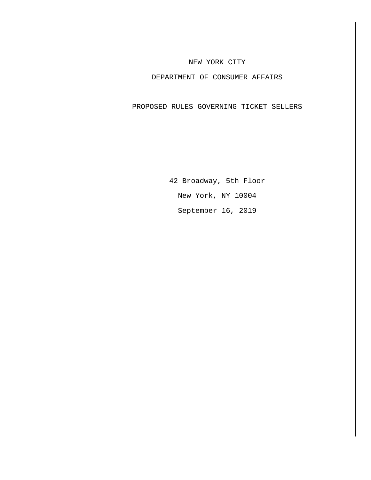### NEW YORK CITY

## DEPARTMENT OF CONSUMER AFFAIRS

PROPOSED RULES GOVERNING TICKET SELLERS

42 Broadway, 5th Floor New York, NY 10004 September 16, 2019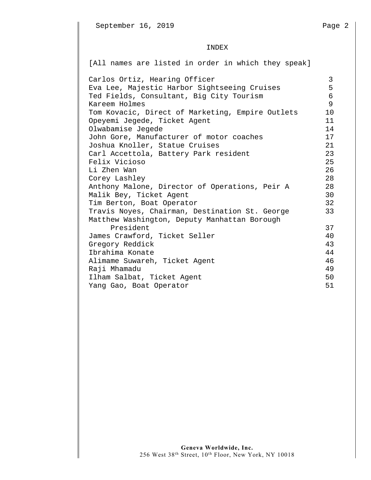### INDEX

[All names are listed in order in which they speak]

Carlos Ortiz, Hearing Officer<br>Eva Lee, Majestic Harbor Sightseeing Cruises 5 Eva Lee, Majestic Harbor Sightseeing Cruises 5 Ted Fields, Consultant, Big City Tourism 6 Kareem Holmes 9 Tom Kovacic, Direct of Marketing, Empire Outlets 10 Opeyemi Jegede, Ticket Agent 11 Olwabamise Jegede 14 John Gore, Manufacturer of motor coaches 17 Joshua Knoller, Statue Cruises 21 Carl Accettola, Battery Park resident 23 Felix Vicioso 25 Li Zhen Wan 26 Corey Lashley 28 Anthony Malone, Director of Operations, Peir A 28 Malik Bey, Ticket Agent 30 Tim Berton, Boat Operator 32 Travis Noyes, Chairman, Destination St. George 33 Matthew Washington, Deputy Manhattan Borough President 37 James Crawford, Ticket Seller 40 Gregory Reddick 43 Ibrahima Konate 44 Alimame Suwareh, Ticket Agent 46 Raji Mhamadu 49 Ilham Salbat, Ticket Agent 50 Yang Gao, Boat Operator 61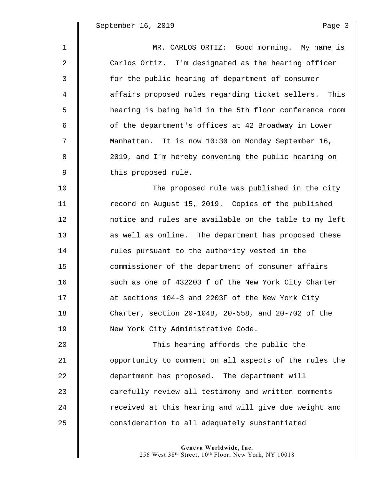$\mathbb I$ 

| $\mathbf 1$    | MR. CARLOS ORTIZ: Good morning. My name is             |
|----------------|--------------------------------------------------------|
| 2              | Carlos Ortiz. I'm designated as the hearing officer    |
| 3              | for the public hearing of department of consumer       |
| $\overline{4}$ | affairs proposed rules regarding ticket sellers. This  |
| 5              | hearing is being held in the 5th floor conference room |
| 6              | of the department's offices at 42 Broadway in Lower    |
| 7              | Manhattan. It is now 10:30 on Monday September 16,     |
| 8              | 2019, and I'm hereby convening the public hearing on   |
| 9              | this proposed rule.                                    |
| 10             | The proposed rule was published in the city            |
| 11             | record on August 15, 2019. Copies of the published     |
| 12             | notice and rules are available on the table to my left |
| 13             | as well as online. The department has proposed these   |
| 14             | rules pursuant to the authority vested in the          |
| 15             | commissioner of the department of consumer affairs     |
| 16             | such as one of 432203 f of the New York City Charter   |
| 17             | at sections 104-3 and 2203F of the New York City       |
| 18             | Charter, section 20-104B, 20-558, and 20-702 of the    |
| 19             | New York City Administrative Code.                     |
| 20             | This hearing affords the public the                    |
| 21             | opportunity to comment on all aspects of the rules the |
| 22             | department has proposed. The department will           |
| 23             | carefully review all testimony and written comments    |
| 24             | received at this hearing and will give due weight and  |
| 25             | consideration to all adequately substantiated          |
|                |                                                        |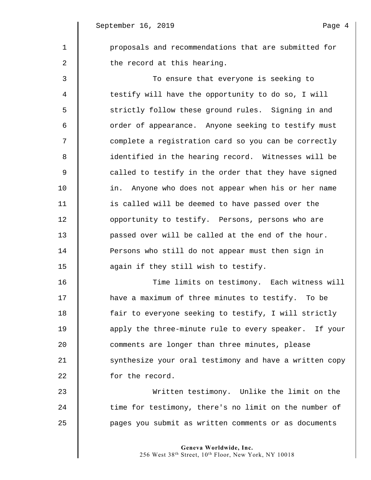1 **proposals and recommendations that are submitted for** 2  $\parallel$  the record at this hearing.

3 To ensure that everyone is seeking to 4 testify will have the opportunity to do so, I will 5 | strictly follow these ground rules. Signing in and 6 || order of appearance. Anyone seeking to testify must 7  $\parallel$  complete a registration card so you can be correctly 8 || identified in the hearing record. Witnesses will be  $9 \parallel$  called to testify in the order that they have signed 10 in. Anyone who does not appear when his or her name 11 is called will be deemed to have passed over the 12 | opportunity to testify. Persons, persons who are 13 | passed over will be called at the end of the hour. 14 **Persons who still do not appear must then sign in** 15 **again if they still wish to testify.** 

16 | Time limits on testimony. Each witness will 17 have a maximum of three minutes to testify. To be 18 **fair to everyone seeking to testify, I will strictly** 19 apply the three-minute rule to every speaker. If your 20 **comments are longer than three minutes, please** 21 Synthesize your oral testimony and have a written copy 22 **for the record.** 

23 Written testimony. Unlike the limit on the 24 time for testimony, there's no limit on the number of 25 pages you submit as written comments or as documents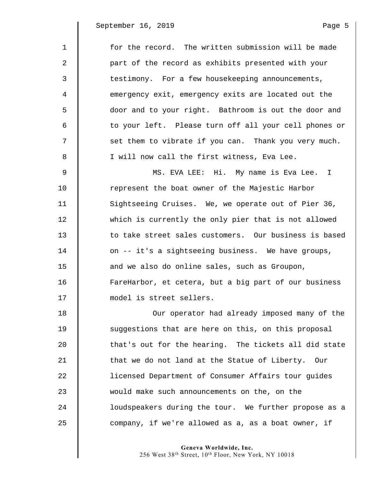$\parallel$ 

| $\mathbf 1$ | for the record. The written submission will be made   |
|-------------|-------------------------------------------------------|
| 2           | part of the record as exhibits presented with your    |
| 3           | testimony. For a few housekeeping announcements,      |
| 4           | emergency exit, emergency exits are located out the   |
| 5           | door and to your right. Bathroom is out the door and  |
| 6           | to your left. Please turn off all your cell phones or |
| 7           | set them to vibrate if you can. Thank you very much.  |
| 8           | I will now call the first witness, Eva Lee.           |
| 9           | MS. EVA LEE: Hi. My name is Eva Lee. I                |
| 10          | represent the boat owner of the Majestic Harbor       |
| 11          | Sightseeing Cruises. We, we operate out of Pier 36,   |
| 12          | which is currently the only pier that is not allowed  |
| 13          | to take street sales customers. Our business is based |
| 14          | on -- it's a sightseeing business. We have groups,    |
| 15          | and we also do online sales, such as Groupon,         |
| 16          | FareHarbor, et cetera, but a big part of our business |
| 17          | model is street sellers.                              |
| 18          | Our operator had already imposed many of the          |
| 19          | suggestions that are here on this, on this proposal   |
| 20          | that's out for the hearing. The tickets all did state |
| 21          | that we do not land at the Statue of Liberty. Our     |
| 22          | licensed Department of Consumer Affairs tour guides   |
| 23          | would make such announcements on the, on the          |
| 24          | loudspeakers during the tour. We further propose as a |
| 25          | company, if we're allowed as a, as a boat owner, if   |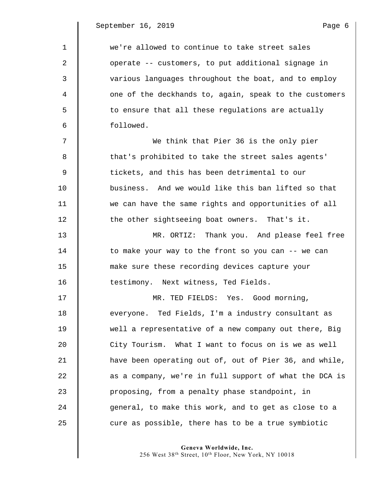$\parallel$ 

| 1  | we're allowed to continue to take street sales         |
|----|--------------------------------------------------------|
| 2  | operate -- customers, to put additional signage in     |
| 3  | various languages throughout the boat, and to employ   |
| 4  | one of the deckhands to, again, speak to the customers |
| 5  | to ensure that all these regulations are actually      |
| 6  | followed.                                              |
| 7  | We think that Pier 36 is the only pier                 |
| 8  | that's prohibited to take the street sales agents'     |
| 9  | tickets, and this has been detrimental to our          |
| 10 | business. And we would like this ban lifted so that    |
| 11 | we can have the same rights and opportunities of all   |
| 12 | the other sightseeing boat owners. That's it.          |
| 13 | MR. ORTIZ: Thank you. And please feel free             |
| 14 | to make your way to the front so you can -- we can     |
| 15 | make sure these recording devices capture your         |
| 16 | testimony. Next witness, Ted Fields.                   |
| 17 | MR. TED FIELDS: Yes. Good morning,                     |
| 18 | everyone. Ted Fields, I'm a industry consultant as     |
| 19 | well a representative of a new company out there, Big  |
| 20 | City Tourism. What I want to focus on is we as well    |
| 21 | have been operating out of, out of Pier 36, and while, |
| 22 | as a company, we're in full support of what the DCA is |
| 23 | proposing, from a penalty phase standpoint, in         |
| 24 | general, to make this work, and to get as close to a   |
| 25 | cure as possible, there has to be a true symbiotic     |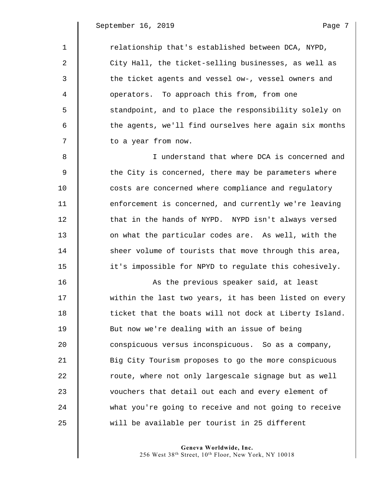$\mathsf{l}$ 

| $\mathbf 1$ | relationship that's established between DCA, NYPD,     |
|-------------|--------------------------------------------------------|
| 2           | City Hall, the ticket-selling businesses, as well as   |
| 3           | the ticket agents and vessel ow-, vessel owners and    |
| 4           | operators. To approach this from, from one             |
| 5           | standpoint, and to place the responsibility solely on  |
| 6           | the agents, we'll find ourselves here again six months |
| 7           | to a year from now.                                    |
| 8           | I understand that where DCA is concerned and           |
| 9           | the City is concerned, there may be parameters where   |
| 10          | costs are concerned where compliance and regulatory    |
| 11          | enforcement is concerned, and currently we're leaving  |
| 12          | that in the hands of NYPD. NYPD isn't always versed    |
| 13          | on what the particular codes are. As well, with the    |
| 14          | sheer volume of tourists that move through this area,  |
| 15          | it's impossible for NPYD to regulate this cohesively.  |
| 16          | As the previous speaker said, at least                 |
| 17          | within the last two years, it has been listed on every |
| 18          | ticket that the boats will not dock at Liberty Island. |
| 19          | But now we're dealing with an issue of being           |
| 20          | conspicuous versus inconspicuous. So as a company,     |
| 21          | Big City Tourism proposes to go the more conspicuous   |
| 22          | route, where not only largescale signage but as well   |
| 23          | vouchers that detail out each and every element of     |
| 24          | what you're going to receive and not going to receive  |
| 25          | will be available per tourist in 25 different          |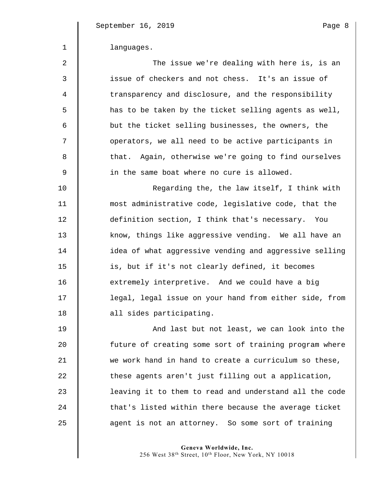| $\mathbf{1}$     | languages.                                             |
|------------------|--------------------------------------------------------|
| $\boldsymbol{2}$ | The issue we're dealing with here is, is an            |
| 3                | issue of checkers and not chess. It's an issue of      |
| $\overline{4}$   | transparency and disclosure, and the responsibility    |
| 5                | has to be taken by the ticket selling agents as well,  |
| 6                | but the ticket selling businesses, the owners, the     |
| 7                | operators, we all need to be active participants in    |
| 8                | that. Again, otherwise we're going to find ourselves   |
| $\overline{9}$   | in the same boat where no cure is allowed.             |
| 10               | Regarding the, the law itself, I think with            |
| 11               | most administrative code, legislative code, that the   |
| 12               | definition section, I think that's necessary. You      |
| 13               | know, things like aggressive vending. We all have an   |
| 14               | idea of what aggressive vending and aggressive selling |
| 15               | is, but if it's not clearly defined, it becomes        |
| 16               | extremely interpretive. And we could have a big        |
| 17               | legal, legal issue on your hand from either side, from |
| 18               | all sides participating.                               |
| 19               | And last but not least, we can look into the           |
| 20               | future of creating some sort of training program where |
| 21               | we work hand in hand to create a curriculum so these,  |
| 22               | these agents aren't just filling out a application,    |
| 23               | leaving it to them to read and understand all the code |
| 24               | that's listed within there because the average ticket  |

**Geneva Worldwide, Inc.**  256 West 38th Street, 10th Floor, New York, NY 10018

25 **a** agent is not an attorney. So some sort of training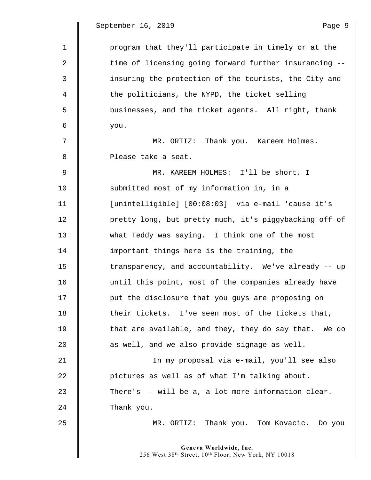1 | program that they'll participate in timely or at the 2  $\parallel$  time of licensing going forward further insurancing --3 insuring the protection of the tourists, the City and 4 the politicians, the NYPD, the ticket selling 5 || businesses, and the ticket agents. All right, thank  $6 \parallel$  you. 7  $\parallel$  MR. ORTIZ: Thank you. Kareem Holmes. 8 | Please take a seat. 9 MR. KAREEM HOLMES: I'll be short. I 10 **Submitted most of my information in, in a** 11 [unintelligible] [00:08:03] via e-mail 'cause it's 12 | pretty long, but pretty much, it's piggybacking off of 13 what Teddy was saying. I think one of the most 14 important things here is the training, the 15 | transparency, and accountability. We've already -- up 16 | until this point, most of the companies already have 17 **put the disclosure that you guys are proposing on** 18 their tickets. I've seen most of the tickets that, 19 **that are available, and they, they do say that.** We do 20  $\parallel$  as well, and we also provide signage as well. 21 In my proposal via e-mail, you'll see also 22 pictures as well as of what I'm talking about. 23 There's -- will be a, a lot more information clear.  $24$  Thank you. 25 MR. ORTIZ: Thank you. Tom Kovacic. Do you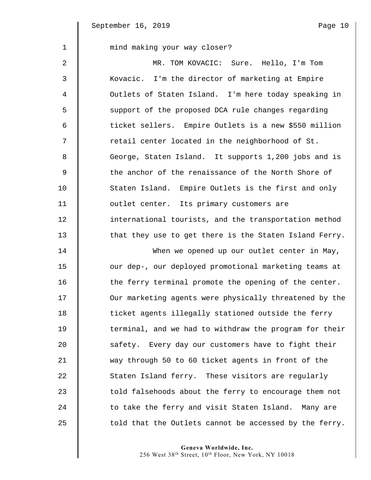| $\mathbf{1}$ | mind making your way closer?                           |
|--------------|--------------------------------------------------------|
| 2            | MR. TOM KOVACIC: Sure. Hello, I'm Tom                  |
| 3            | Kovacic. I'm the director of marketing at Empire       |
| 4            | Outlets of Staten Island. I'm here today speaking in   |
| 5            | support of the proposed DCA rule changes regarding     |
| 6            | ticket sellers. Empire Outlets is a new \$550 million  |
| 7            | retail center located in the neighborhood of St.       |
| 8            | George, Staten Island. It supports 1,200 jobs and is   |
| $\mathsf 9$  | the anchor of the renaissance of the North Shore of    |
| 10           | Staten Island. Empire Outlets is the first and only    |
| 11           | outlet center. Its primary customers are               |
| 12           | international tourists, and the transportation method  |
| 13           | that they use to get there is the Staten Island Ferry. |
| 14           | When we opened up our outlet center in May,            |
| 15           | our dep-, our deployed promotional marketing teams at  |
| 16           | the ferry terminal promote the opening of the center.  |
| 17           | Our marketing agents were physically threatened by the |
| 18           | ticket agents illegally stationed outside the ferry    |
| 19           | terminal, and we had to withdraw the program for their |
| 20           | safety. Every day our customers have to fight their    |
| 21           | way through 50 to 60 ticket agents in front of the     |
| 22           | Staten Island ferry. These visitors are regularly      |
| 23           | told falsehoods about the ferry to encourage them not  |
| 24           | to take the ferry and visit Staten Island. Many are    |
| 25           | told that the Outlets cannot be accessed by the ferry. |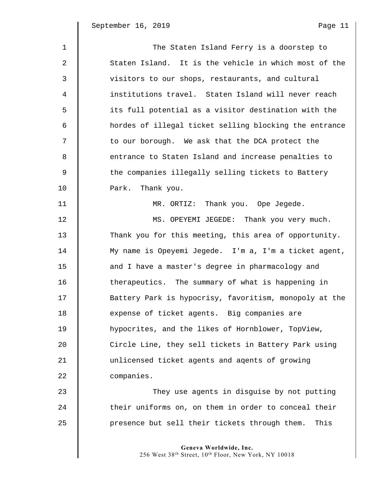| r<br>┓. |  |
|---------|--|
|         |  |

| $\mathbf{1}$ | The Staten Island Ferry is a doorstep to               |
|--------------|--------------------------------------------------------|
| 2            | Staten Island. It is the vehicle in which most of the  |
| 3            | visitors to our shops, restaurants, and cultural       |
| 4            | institutions travel. Staten Island will never reach    |
| 5            | its full potential as a visitor destination with the   |
| 6            | hordes of illegal ticket selling blocking the entrance |
| 7            | to our borough. We ask that the DCA protect the        |
| 8            | entrance to Staten Island and increase penalties to    |
| 9            | the companies illegally selling tickets to Battery     |
| 10           | Park. Thank you.                                       |
| 11           | MR. ORTIZ: Thank you. Ope Jegede.                      |
| 12           | MS. OPEYEMI JEGEDE: Thank you very much.               |
| 13           | Thank you for this meeting, this area of opportunity.  |
| 14           | My name is Opeyemi Jegede. I'm a, I'm a ticket agent,  |
| 15           | and I have a master's degree in pharmacology and       |
| 16           | therapeutics. The summary of what is happening in      |
| 17           | Battery Park is hypocrisy, favoritism, monopoly at the |
| 18           | expense of ticket agents. Big companies are            |
| 19           | hypocrites, and the likes of Hornblower, TopView,      |
| 20           | Circle Line, they sell tickets in Battery Park using   |
| 21           | unlicensed ticket agents and agents of growing         |
| 22           | companies.                                             |
| 23           | They use agents in disguise by not putting             |
| 24           | their uniforms on, on them in order to conceal their   |
| 25           | presence but sell their tickets through them.<br>This  |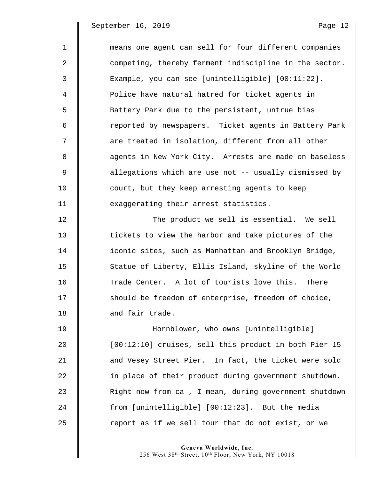1 means one agent can sell for four different companies 2 | competing, thereby ferment indiscipline in the sector. 3 Example, you can see [unintelligible] [00:11:22]. 4 | Police have natural hatred for ticket agents in 5 | Battery Park due to the persistent, untrue bias 6 || reported by newspapers. Ticket agents in Battery Park 7  $\parallel$  are treated in isolation, different from all other 8 || agents in New York City. Arrests are made on baseless 9  $\parallel$  allegations which are use not -- usually dismissed by 10 **court, but they keep arresting agents to keep** 11 **I** exaggerating their arrest statistics. 12 | The product we sell is essential. We sell 13 **tickets to view the harbor and take pictures of the** 

14 **I** iconic sites, such as Manhattan and Brooklyn Bridge, 15 | Statue of Liberty, Ellis Island, skyline of the World 16 Trade Center. A lot of tourists love this. There 17 Should be freedom of enterprise, freedom of choice, 18 **d** and fair trade.

19 Hornblower, who owns [unintelligible] 20 | [00:12:10] cruises, sell this product in both Pier 15 21 **and Vesey Street Pier.** In fact, the ticket were sold 22 | in place of their product during government shutdown. 23 Right now from ca-, I mean, during government shutdown 24 from [unintelligible] [00:12:23]. But the media  $25$  | report as if we sell tour that do not exist, or we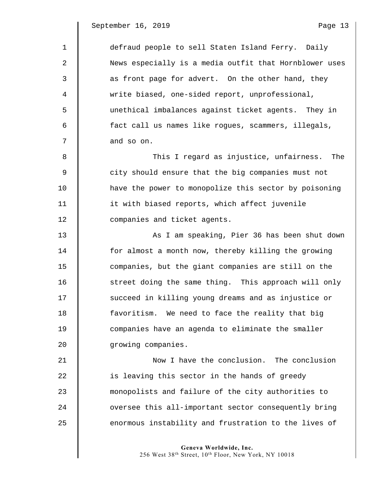| $\mathbf{1}$   | defraud people to sell Staten Island Ferry. Daily      |
|----------------|--------------------------------------------------------|
| 2              | News especially is a media outfit that Hornblower uses |
| 3              | as front page for advert. On the other hand, they      |
| $\overline{4}$ | write biased, one-sided report, unprofessional,        |
| 5              | unethical imbalances against ticket agents. They in    |
| 6              | fact call us names like rogues, scammers, illegals,    |
| 7              | and so on.                                             |
| 8              | This I regard as injustice, unfairness. The            |
| $\overline{9}$ | city should ensure that the big companies must not     |
| 10             | have the power to monopolize this sector by poisoning  |
| 11             | it with biased reports, which affect juvenile          |
| 12             | companies and ticket agents.                           |
| 13             | As I am speaking, Pier 36 has been shut down           |
| 14             | for almost a month now, thereby killing the growing    |
| 15             | companies, but the giant companies are still on the    |
| 16             | street doing the same thing. This approach will only   |
| 17             | succeed in killing young dreams and as injustice or    |
| 18             | favoritism. We need to face the reality that big       |
| 19             | companies have an agenda to eliminate the smaller      |
| 20             | growing companies.                                     |
| 21             | Now I have the conclusion. The conclusion              |
| 22             | is leaving this sector in the hands of greedy          |
| 23             | monopolists and failure of the city authorities to     |
| 24             | oversee this all-important sector consequently bring   |
| 25             | enormous instability and frustration to the lives of   |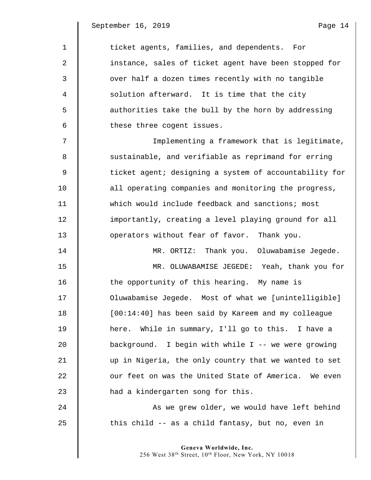1 **ticket agents, families, and dependents.** For 2 | instance, sales of ticket agent have been stopped for 3 | over half a dozen times recently with no tangible 4 Solution afterward. It is time that the city 5 | authorities take the bull by the horn by addressing 6 **these three cogent issues.** 7 || Implementing a framework that is legitimate, 8 Sustainable, and verifiable as reprimand for erring 9  $\parallel$  ticket agent; designing a system of accountability for 10 **deg is all operating companies and monitoring the progress,** 11 which would include feedback and sanctions; most 12  $\parallel$  importantly, creating a level playing ground for all 13 **Juber 12** operators without fear of favor. Thank you. 14 MR. ORTIZ: Thank you. Oluwabamise Jegede. 15 MR. OLUWABAMISE JEGEDE**:** Yeah, thank you for 16 The opportunity of this hearing. My name is 17 Oluwabamise Jegede. Most of what we [unintelligible] 18 **I** [00:14:40] has been said by Kareem and my colleague 19 here. While in summary, I'll go to this. I have a 20 background. I begin with while I -- we were growing 21 up in Nigeria, the only country that we wanted to set 22  $\parallel$  our feet on was the United State of America. We even 23 **H** had a kindergarten song for this. 24 As we grew older, we would have left behind  $25$   $\parallel$  this child -- as a child fantasy, but no, even in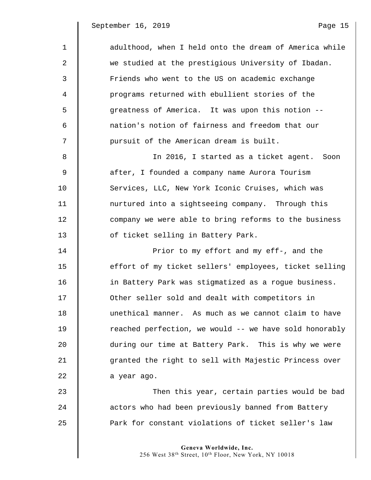$\parallel$ 

| $\mathbf{1}$ | adulthood, when I held onto the dream of America while |
|--------------|--------------------------------------------------------|
| 2            | we studied at the prestigious University of Ibadan.    |
| 3            | Friends who went to the US on academic exchange        |
| 4            | programs returned with ebullient stories of the        |
| 5            | greatness of America. It was upon this notion --       |
| 6            | nation's notion of fairness and freedom that our       |
| 7            | pursuit of the American dream is built.                |
| 8            | In 2016, I started as a ticket agent. Soon             |
| 9            | after, I founded a company name Aurora Tourism         |
| 10           | Services, LLC, New York Iconic Cruises, which was      |
| 11           | nurtured into a sightseeing company. Through this      |
| 12           | company we were able to bring reforms to the business  |
| 13           | of ticket selling in Battery Park.                     |
| 14           | Prior to my effort and my eff-, and the                |
| 15           | effort of my ticket sellers' employees, ticket selling |
| 16           | in Battery Park was stigmatized as a rogue business.   |
| 17           | Other seller sold and dealt with competitors in        |
| 18           | unethical manner. As much as we cannot claim to have   |
| 19           | reached perfection, we would -- we have sold honorably |
| 20           | during our time at Battery Park. This is why we were   |
| 21           | granted the right to sell with Majestic Princess over  |
| 22           | a year ago.                                            |
| 23           | Then this year, certain parties would be bad           |
| 24           | actors who had been previously banned from Battery     |
| 25           | Park for constant violations of ticket seller's law    |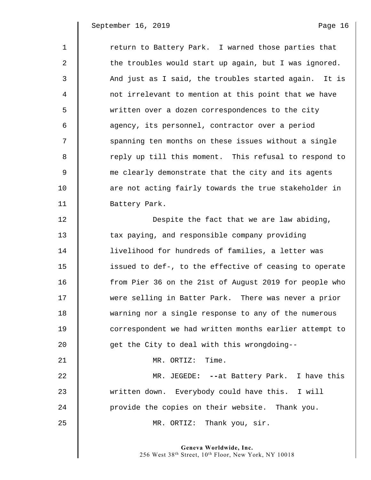| $\mathbf{1}$ | return to Battery Park. I warned those parties that    |
|--------------|--------------------------------------------------------|
| 2            | the troubles would start up again, but I was ignored.  |
| 3            | And just as I said, the troubles started again. It is  |
| 4            | not irrelevant to mention at this point that we have   |
| 5            | written over a dozen correspondences to the city       |
| 6            | agency, its personnel, contractor over a period        |
| 7            | spanning ten months on these issues without a single   |
| 8            | reply up till this moment. This refusal to respond to  |
| $\mathsf 9$  | me clearly demonstrate that the city and its agents    |
| 10           | are not acting fairly towards the true stakeholder in  |
| 11           | Battery Park.                                          |
| 12           | Despite the fact that we are law abiding,              |
| 13           | tax paying, and responsible company providing          |
| 14           | livelihood for hundreds of families, a letter was      |
| 15           | issued to def-, to the effective of ceasing to operate |
| 16           | from Pier 36 on the 21st of August 2019 for people who |
| 17           | were selling in Batter Park. There was never a prior   |
| 18           | warning nor a single response to any of the numerous   |
| 19           | correspondent we had written months earlier attempt to |
| 20           | get the City to deal with this wrongdoing--            |
| 21           | MR. ORTIZ: Time.                                       |
| 22           | MR. JEGEDE: -- at Battery Park. I have this            |
| 23           | written down. Everybody could have this. I will        |
| 24           | provide the copies on their website. Thank you.        |
| 25           | MR. ORTIZ: Thank you, sir.                             |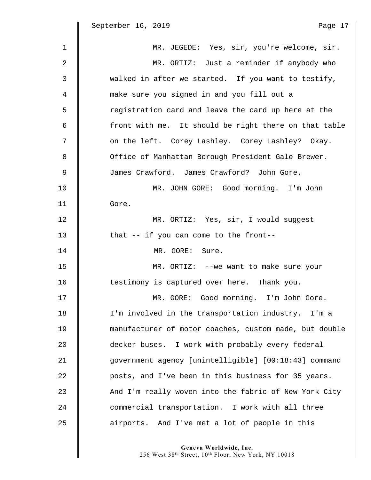| $\mathbf 1$ | MR. JEGEDE: Yes, sir, you're welcome, sir.             |
|-------------|--------------------------------------------------------|
| 2           | MR. ORTIZ: Just a reminder if anybody who              |
| 3           | walked in after we started. If you want to testify,    |
| 4           | make sure you signed in and you fill out a             |
| 5           | registration card and leave the card up here at the    |
| 6           | front with me. It should be right there on that table  |
| 7           | on the left. Corey Lashley. Corey Lashley? Okay.       |
| 8           | Office of Manhattan Borough President Gale Brewer.     |
| 9           | James Crawford. James Crawford? John Gore.             |
| 10          | MR. JOHN GORE: Good morning. I'm John                  |
| 11          | Gore.                                                  |
| 12          | MR. ORTIZ: Yes, sir, I would suggest                   |
| 13          | that -- if you can come to the front--                 |
| 14          | MR. GORE:<br>Sure.                                     |
| 15          | MR. ORTIZ: -- we want to make sure your                |
| 16          | testimony is captured over here. Thank you.            |
| 17          | MR. GORE: Good morning. I'm John Gore.                 |
| 18          | I'm involved in the transportation industry. I'm a     |
| 19          | manufacturer of motor coaches, custom made, but double |
| 20          | decker buses. I work with probably every federal       |
| 21          | government agency [unintelligible] [00:18:43] command  |
| 22          | posts, and I've been in this business for 35 years.    |
| 23          | And I'm really woven into the fabric of New York City  |
| 24          | commercial transportation. I work with all three       |
| 25          | airports. And I've met a lot of people in this         |

**Geneva Worldwide, Inc.** 

256 West 38th Street, 10th Floor, New York, NY 10018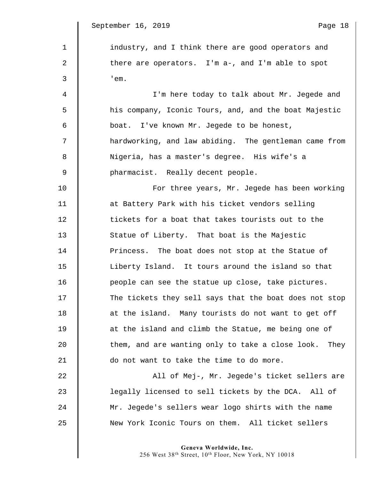$\parallel$ 

| $\mathbf{1}$ | industry, and I think there are good operators and     |
|--------------|--------------------------------------------------------|
| 2            | there are operators. I'm a-, and I'm able to spot      |
| 3            | 'em.                                                   |
| 4            | I'm here today to talk about Mr. Jegede and            |
| 5            | his company, Iconic Tours, and, and the boat Majestic  |
| 6            | boat. I've known Mr. Jegede to be honest,              |
| 7            | hardworking, and law abiding. The gentleman came from  |
| 8            | Nigeria, has a master's degree. His wife's a           |
| $\mathsf 9$  | pharmacist. Really decent people.                      |
| 10           | For three years, Mr. Jegede has been working           |
| 11           | at Battery Park with his ticket vendors selling        |
| 12           | tickets for a boat that takes tourists out to the      |
| 13           | Statue of Liberty. That boat is the Majestic           |
| 14           | Princess. The boat does not stop at the Statue of      |
| 15           | Liberty Island. It tours around the island so that     |
| 16           | people can see the statue up close, take pictures.     |
| 17           | The tickets they sell says that the boat does not stop |
| 18           | at the island. Many tourists do not want to get off    |
| 19           | at the island and climb the Statue, me being one of    |
| 20           | them, and are wanting only to take a close look. They  |
| 21           | do not want to take the time to do more.               |
| 22           | All of Mej-, Mr. Jegede's ticket sellers are           |
| 23           | legally licensed to sell tickets by the DCA. All of    |
| 24           | Mr. Jegede's sellers wear logo shirts with the name    |
| 25           | New York Iconic Tours on them. All ticket sellers      |
|              |                                                        |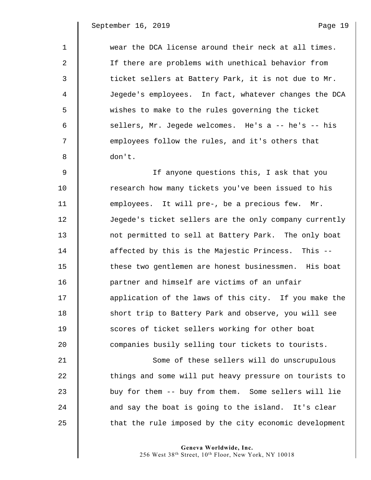| $\mathbf{1}$ | wear the DCA license around their neck at all times.   |
|--------------|--------------------------------------------------------|
| 2            | If there are problems with unethical behavior from     |
| 3            | ticket sellers at Battery Park, it is not due to Mr.   |
| 4            | Jegede's employees. In fact, whatever changes the DCA  |
| 5            | wishes to make to the rules governing the ticket       |
| 6            | sellers, Mr. Jegede welcomes. He's a -- he's -- his    |
| 7            | employees follow the rules, and it's others that       |
| 8            | don't.                                                 |
| 9            | If anyone questions this, I ask that you               |
| 10           | research how many tickets you've been issued to his    |
| 11           | employees. It will pre-, be a precious few. Mr.        |
| 12           | Jegede's ticket sellers are the only company currently |
| 13           | not permitted to sell at Battery Park. The only boat   |
| 14           | affected by this is the Majestic Princess. This --     |
| 15           | these two gentlemen are honest businessmen. His boat   |
| 16           | partner and himself are victims of an unfair           |
| 17           | application of the laws of this city. If you make the  |
| 18           | short trip to Battery Park and observe, you will see   |
| 19           | scores of ticket sellers working for other boat        |
| 20           | companies busily selling tour tickets to tourists.     |
| 21           | Some of these sellers will do unscrupulous             |
| 22           | things and some will put heavy pressure on tourists to |
| 23           | buy for them -- buy from them. Some sellers will lie   |
| 24           | and say the boat is going to the island. It's clear    |
| 25           | that the rule imposed by the city economic development |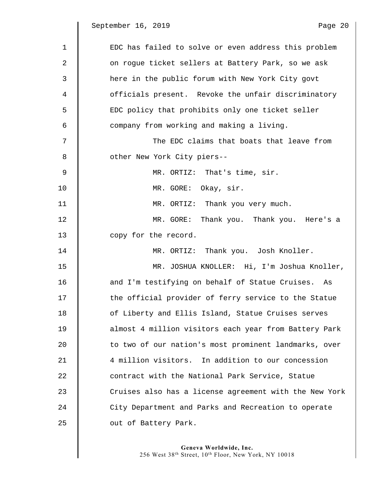$\parallel$ 

| $\mathbf 1$ | EDC has failed to solve or even address this problem   |
|-------------|--------------------------------------------------------|
| 2           | on rogue ticket sellers at Battery Park, so we ask     |
| 3           | here in the public forum with New York City govt       |
| 4           | officials present. Revoke the unfair discriminatory    |
| 5           | EDC policy that prohibits only one ticket seller       |
| 6           | company from working and making a living.              |
| 7           | The EDC claims that boats that leave from              |
| 8           | other New York City piers--                            |
| 9           | MR. ORTIZ: That's time, sir.                           |
| 10          | MR. GORE:<br>Okay, sir.                                |
| 11          | MR. ORTIZ: Thank you very much.                        |
| 12          | MR. GORE: Thank you. Thank you. Here's a               |
| 13          | copy for the record.                                   |
| 14          | MR. ORTIZ: Thank you. Josh Knoller.                    |
| 15          | MR. JOSHUA KNOLLER: Hi, I'm Joshua Knoller,            |
| 16          | and I'm testifying on behalf of Statue Cruises. As     |
| 17          | the official provider of ferry service to the Statue   |
| 18          | of Liberty and Ellis Island, Statue Cruises serves     |
| 19          | almost 4 million visitors each year from Battery Park  |
| 20          | to two of our nation's most prominent landmarks, over  |
| 21          | 4 million visitors. In addition to our concession      |
| 22          | contract with the National Park Service, Statue        |
| 23          | Cruises also has a license agreement with the New York |
| 24          | City Department and Parks and Recreation to operate    |

25 **July 25** out of Battery Park.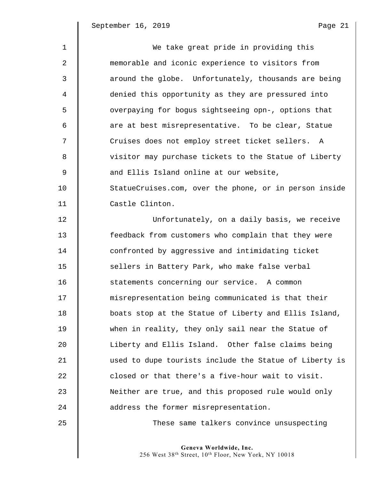| $\mathbf{1}$ | We take great pride in providing this                  |
|--------------|--------------------------------------------------------|
| 2            | memorable and iconic experience to visitors from       |
| 3            | around the globe. Unfortunately, thousands are being   |
| 4            | denied this opportunity as they are pressured into     |
| 5            | overpaying for bogus sightseeing opn-, options that    |
| 6            | are at best misrepresentative. To be clear, Statue     |
| 7            | Cruises does not employ street ticket sellers. A       |
| 8            | visitor may purchase tickets to the Statue of Liberty  |
| 9            | and Ellis Island online at our website,                |
| 10           | StatueCruises.com, over the phone, or in person inside |
| 11           | Castle Clinton.                                        |
| 12           | Unfortunately, on a daily basis, we receive            |
| 13           | feedback from customers who complain that they were    |
| 14           | confronted by aggressive and intimidating ticket       |
| 15           | sellers in Battery Park, who make false verbal         |
| 16           | statements concerning our service. A common            |
| 17           | misrepresentation being communicated is that their     |
| 18           | boats stop at the Statue of Liberty and Ellis Island,  |
| 19           | when in reality, they only sail near the Statue of     |
| 20           | Liberty and Ellis Island. Other false claims being     |
| 21           | used to dupe tourists include the Statue of Liberty is |
| 22           | closed or that there's a five-hour wait to visit.      |
| 23           | Neither are true, and this proposed rule would only    |
| 24           | address the former misrepresentation.                  |

25 These same talkers convince unsuspecting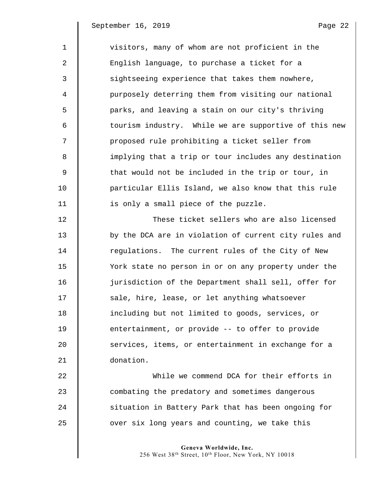1 visitors, many of whom are not proficient in the 2 | English language, to purchase a ticket for a 3 Sightseeing experience that takes them nowhere, 4 purposely deterring them from visiting our national 5 | parks, and leaving a stain on our city's thriving 6 || tourism industry. While we are supportive of this new 7 || proposed rule prohibiting a ticket seller from 8  $\parallel$  implying that a trip or tour includes any destination 9  $\parallel$  that would not be included in the trip or tour, in 10 particular Ellis Island, we also know that this rule  $11$  | is only a small piece of the puzzle. 12 These ticket sellers who are also licensed 13 | by the DCA are in violation of current city rules and 14 Tequlations. The current rules of the City of New 15 York state no person in or on any property under the 16 jurisdiction of the Department shall sell, offer for 17 Sale, hire, lease, or let anything whatsoever 18 including but not limited to goods, services, or 19 **entertainment, or provide -- to offer to provide** 20 Services, items, or entertainment in exchange for a 21 donation. 22 While we commend DCA for their efforts in 23 combating the predatory and sometimes dangerous

25 **J** over six long years and counting, we take this

24 Situation in Battery Park that has been ongoing for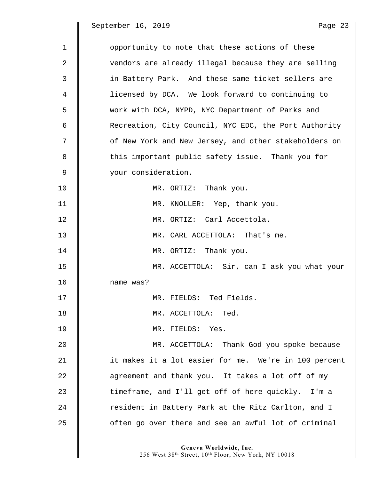September 16, 2019

| ann' |  |
|------|--|

| $\mathbf{1}$ | opportunity to note that these actions of these       |
|--------------|-------------------------------------------------------|
| 2            | vendors are already illegal because they are selling  |
| 3            | in Battery Park. And these same ticket sellers are    |
| 4            | licensed by DCA. We look forward to continuing to     |
| 5            | work with DCA, NYPD, NYC Department of Parks and      |
| 6            | Recreation, City Council, NYC EDC, the Port Authority |
| 7            | of New York and New Jersey, and other stakeholders on |
| 8            | this important public safety issue. Thank you for     |
| 9            | your consideration.                                   |
| 10           | MR. ORTIZ: Thank you.                                 |
| 11           | MR. KNOLLER: Yep, thank you.                          |
| 12           | MR. ORTIZ: Carl Accettola.                            |
| 13           | MR. CARL ACCETTOLA: That's me.                        |
| 14           | MR. ORTIZ: Thank you.                                 |
| 15           | MR. ACCETTOLA: Sir, can I ask you what your           |
| 16           | name was?                                             |
| 17           | MR. FIELDS: Ted Fields.                               |
| 18           | MR. ACCETTOLA: Ted.                                   |
| 19           | MR. FIELDS:<br>Yes.                                   |
| 20           | MR. ACCETTOLA: Thank God you spoke because            |
| 21           | it makes it a lot easier for me. We're in 100 percent |
| 22           | agreement and thank you. It takes a lot off of my     |
| 23           | timeframe, and I'll get off of here quickly. I'm a    |
| 24           | resident in Battery Park at the Ritz Carlton, and I   |
| 25           | often go over there and see an awful lot of criminal  |

**Geneva Worldwide, Inc.** 

256 West 38th Street, 10th Floor, New York, NY 10018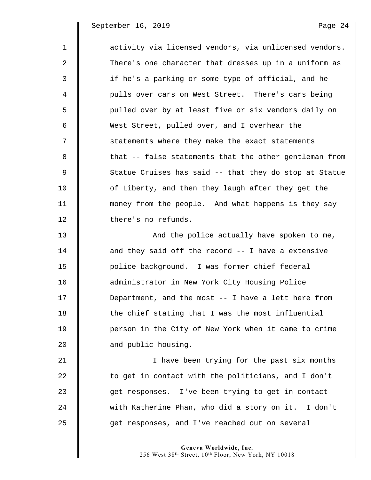| $\mathbf{1}$ | activity via licensed vendors, via unlicensed vendors. |
|--------------|--------------------------------------------------------|
| 2            | There's one character that dresses up in a uniform as  |
| 3            | if he's a parking or some type of official, and he     |
| 4            | pulls over cars on West Street. There's cars being     |
| 5            | pulled over by at least five or six vendors daily on   |
| 6            | West Street, pulled over, and I overhear the           |
| 7            | statements where they make the exact statements        |
| 8            | that -- false statements that the other gentleman from |
| 9            | Statue Cruises has said -- that they do stop at Statue |
| 10           | of Liberty, and then they laugh after they get the     |
| 11           | money from the people. And what happens is they say    |
| 12           | there's no refunds.                                    |
| 13           | And the police actually have spoken to me,             |
| 14           | and they said off the record -- I have a extensive     |
| 15           | police background. I was former chief federal          |
| 16           | administrator in New York City Housing Police          |
| 17           | Department, and the most -- I have a lett here from    |
| 18           | the chief stating that I was the most influential      |
| 19           | person in the City of New York when it came to crime   |
| 20           | and public housing.                                    |
| 21           | I have been trying for the past six months             |
| 22           | to get in contact with the politicians, and I don't    |
| 23           | get responses. I've been trying to get in contact      |
| 24           | with Katherine Phan, who did a story on it. I don't    |
| 25           | get responses, and I've reached out on several         |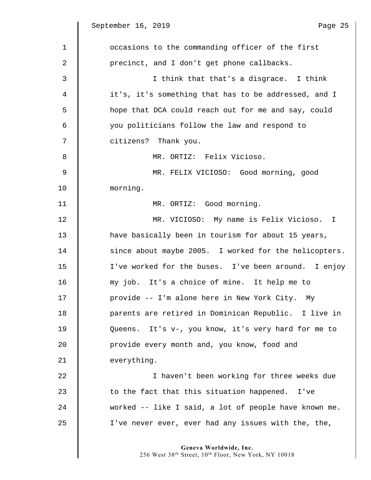September 16, 2019

 $\mathbb I$ 

| aae |  |  |
|-----|--|--|

| $\mathbf 1$ | occasions to the commanding officer of the first                               |
|-------------|--------------------------------------------------------------------------------|
| 2           | precinct, and I don't get phone callbacks.                                     |
| 3           | I think that that's a disgrace. I think                                        |
| 4           | it's, it's something that has to be addressed, and I                           |
| 5           | hope that DCA could reach out for me and say, could                            |
| 6           | you politicians follow the law and respond to                                  |
| 7           | citizens? Thank you.                                                           |
| 8           | MR. ORTIZ: Felix Vicioso.                                                      |
| $\mathsf 9$ | MR. FELIX VICIOSO: Good morning, good                                          |
| 10          | morning.                                                                       |
| 11          | MR. ORTIZ: Good morning.                                                       |
| 12          | MR. VICIOSO: My name is Felix Vicioso. I                                       |
| 13          | have basically been in tourism for about 15 years,                             |
| 14          | since about maybe 2005. I worked for the helicopters.                          |
| 15          | I've worked for the buses. I've been around. I enjoy                           |
| 16          | my job. It's a choice of mine. It help me to                                   |
| 17          | provide -- I'm alone here in New York City. My                                 |
| 18          | parents are retired in Dominican Republic. I live in                           |
| 19          | Queens. It's v-, you know, it's very hard for me to                            |
| 20          | provide every month and, you know, food and                                    |
| 21          | everything.                                                                    |
| 22          | I haven't been working for three weeks due                                     |
| 23          | to the fact that this situation happened.<br>I've                              |
| 24          | worked -- like I said, a lot of people have known me.                          |
| 25          | I've never ever, ever had any issues with the, the,                            |
|             | Geneva Worldwide, Inc.<br>256 West 38th Street, 10th Floor, New York, NY 10018 |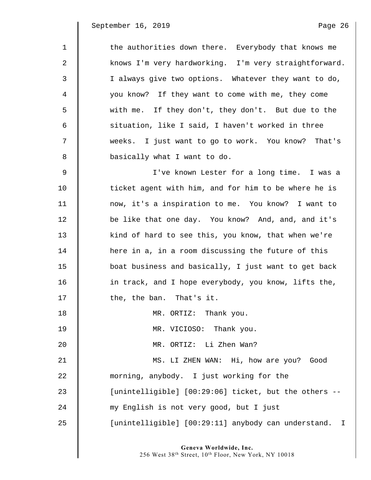$\mathsf I$ 

| 1  | the authorities down there. Everybody that knows me   |
|----|-------------------------------------------------------|
| 2  | knows I'm very hardworking. I'm very straightforward. |
| 3  | I always give two options. Whatever they want to do,  |
| 4  | you know? If they want to come with me, they come     |
| 5  | with me. If they don't, they don't. But due to the    |
| 6  | situation, like I said, I haven't worked in three     |
| 7  | weeks. I just want to go to work. You know? That's    |
| 8  | basically what I want to do.                          |
| 9  | I've known Lester for a long time. I was a            |
| 10 | ticket agent with him, and for him to be where he is  |
| 11 | now, it's a inspiration to me. You know? I want to    |
| 12 | be like that one day. You know? And, and, and it's    |
| 13 | kind of hard to see this, you know, that when we're   |
| 14 | here in a, in a room discussing the future of this    |
| 15 | boat business and basically, I just want to get back  |
| 16 | in track, and I hope everybody, you know, lifts the,  |
| 17 | the, the ban. That's it.                              |
| 18 | MR. ORTIZ: Thank you.                                 |
| 19 | MR. VICIOSO: Thank you.                               |
| 20 | MR. ORTIZ: Li Zhen Wan?                               |
| 21 | MS. LI ZHEN WAN: Hi, how are you? Good                |
| 22 | morning, anybody. I just working for the              |
| 23 | [unintelligible] [00:29:06] ticket, but the others -- |
| 24 | my English is not very good, but I just               |
| 25 | [unintelligible] [00:29:11] anybody can understand. I |
|    |                                                       |

**Geneva Worldwide, Inc.** 

256 West 38th Street, 10th Floor, New York, NY 10018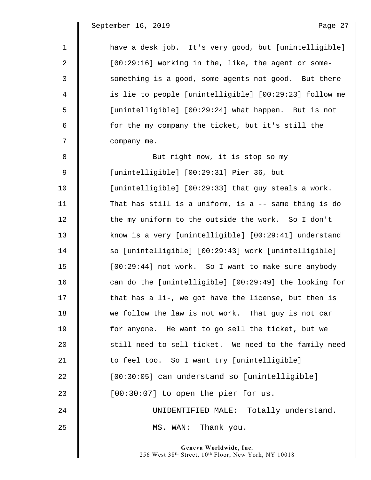| $\mathbf 1$ | have a desk job. It's very good, but [unintelligible]  |
|-------------|--------------------------------------------------------|
| 2           | [00:29:16] working in the, like, the agent or some-    |
| 3           | something is a good, some agents not good. But there   |
| 4           | is lie to people [unintelligible] [00:29:23] follow me |
| 5           | [unintelligible] [00:29:24] what happen. But is not    |
| 6           | for the my company the ticket, but it's still the      |
| 7           | company me.                                            |
| 8           | But right now, it is stop so my                        |
| 9           | [unintelligible] [00:29:31] Pier 36, but               |
| 10          | [unintelligible] [00:29:33] that guy steals a work.    |
| 11          | That has still is a uniform, is a -- same thing is do  |
| 12          | the my uniform to the outside the work. So I don't     |
| 13          | know is a very [unintelligible] [00:29:41] understand  |
| 14          | so [unintelligible] [00:29:43] work [unintelligible]   |
| 15          | [00:29:44] not work. So I want to make sure anybody    |
| 16          | can do the [unintelligible] [00:29:49] the looking for |
| 17          | that has a li-, we got have the license, but then is   |
| 18          | we follow the law is not work. That guy is not car     |
| 19          | for anyone. He want to go sell the ticket, but we      |
| 20          | still need to sell ticket. We need to the family need  |
| 21          | to feel too. So I want try [unintelligible]            |
| 22          | [00:30:05] can understand so [unintelligible]          |
| 23          | [00:30:07] to open the pier for us.                    |
| 24          | UNIDENTIFIED MALE: Totally understand.                 |
| 25          | MS. WAN: Thank you.                                    |
|             |                                                        |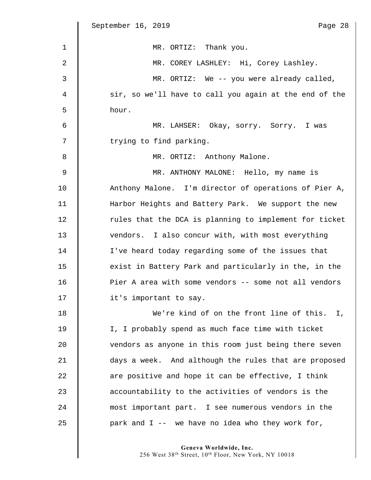|             | September 16, 2019<br>Page 28                          |
|-------------|--------------------------------------------------------|
| $\mathbf 1$ | MR. ORTIZ: Thank you.                                  |
| 2           | MR. COREY LASHLEY: Hi, Corey Lashley.                  |
| 3           | MR. ORTIZ: We -- you were already called,              |
| 4           | sir, so we'll have to call you again at the end of the |
| 5           | hour.                                                  |
| 6           | MR. LAHSER: Okay, sorry. Sorry. I was                  |
| 7           | trying to find parking.                                |
| 8           | MR. ORTIZ: Anthony Malone.                             |
| $\mathsf 9$ | MR. ANTHONY MALONE: Hello, my name is                  |
| 10          | Anthony Malone. I'm director of operations of Pier A,  |
| 11          | Harbor Heights and Battery Park. We support the new    |
| 12          | rules that the DCA is planning to implement for ticket |
| 13          | vendors. I also concur with, with most everything      |
| 14          | I've heard today regarding some of the issues that     |
| 15          | exist in Battery Park and particularly in the, in the  |
| 16          | Pier A area with some vendors -- some not all vendors  |
| 17          | it's important to say.                                 |
| 18          | We're kind of on the front line of this. I,            |
| 19          | I, I probably spend as much face time with ticket      |
| 20          | vendors as anyone in this room just being there seven  |
| 21          | days a week. And although the rules that are proposed  |
| 22          | are positive and hope it can be effective, I think     |
| 23          | accountability to the activities of vendors is the     |
| 24          | most important part. I see numerous vendors in the     |
| 25          | park and $I$ -- we have no idea who they work for,     |
|             |                                                        |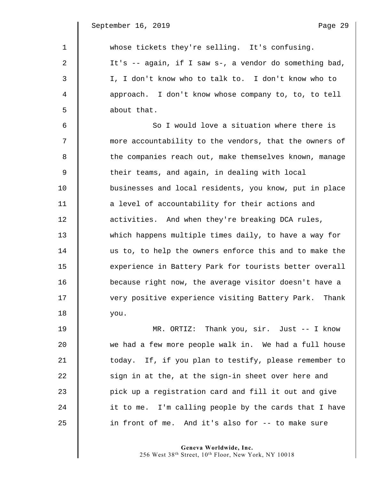| $\mathbf{1}$ | whose tickets they're selling. It's confusing.         |
|--------------|--------------------------------------------------------|
| 2            | It's -- again, if I saw s-, a vendor do something bad, |
| 3            | I, I don't know who to talk to. I don't know who to    |
| 4            | approach. I don't know whose company to, to, to tell   |
| 5            | about that.                                            |
| 6            | So I would love a situation where there is             |
| 7            | more accountability to the vendors, that the owners of |
| 8            | the companies reach out, make themselves known, manage |
| 9            | their teams, and again, in dealing with local          |
| 10           | businesses and local residents, you know, put in place |
| 11           | a level of accountability for their actions and        |
| 12           | activities. And when they're breaking DCA rules,       |
| 13           | which happens multiple times daily, to have a way for  |
| 14           | us to, to help the owners enforce this and to make the |
| 15           | experience in Battery Park for tourists better overall |
| 16           | because right now, the average visitor doesn't have a  |
| 17           | very positive experience visiting Battery Park. Thank  |
| 18           | you.                                                   |
| 19           | MR. ORTIZ: Thank you, sir. Just -- I know              |
| 20           | we had a few more people walk in. We had a full house  |
| 21           | today. If, if you plan to testify, please remember to  |

**Geneva Worldwide, Inc.**  256 West 38th Street, 10th Floor, New York, NY 10018

 $22$  | sign in at the, at the sign-in sheet over here and

25 | in front of me. And it's also for -- to make sure

23 **pick up a registration card and fill it out and give** 

24  $\parallel$  it to me. I'm calling people by the cards that I have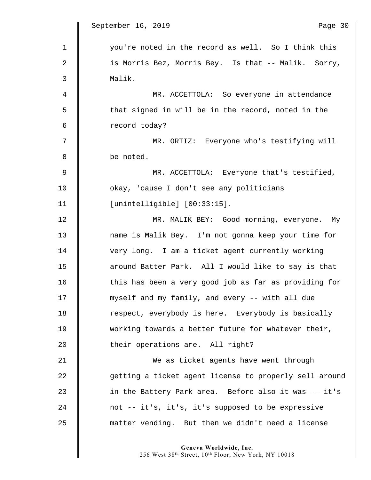$\parallel$ 

| $\mathbf 1$ | you're noted in the record as well. So I think this    |
|-------------|--------------------------------------------------------|
| 2           | is Morris Bez, Morris Bey. Is that -- Malik. Sorry,    |
| 3           | Malik.                                                 |
| 4           | MR. ACCETTOLA: So everyone in attendance               |
| 5           | that signed in will be in the record, noted in the     |
| 6           | record today?                                          |
| 7           | MR. ORTIZ: Everyone who's testifying will              |
| 8           | be noted.                                              |
| $\mathsf 9$ | MR. ACCETTOLA: Everyone that's testified,              |
| 10          | okay, 'cause I don't see any politicians               |
| 11          | [unintelligible] [00:33:15].                           |
| 12          | MR. MALIK BEY: Good morning, everyone. My              |
| 13          | name is Malik Bey. I'm not gonna keep your time for    |
| 14          | very long. I am a ticket agent currently working       |
| 15          | around Batter Park. All I would like to say is that    |
| 16          | this has been a very good job as far as providing for  |
| 17          | myself and my family, and every -- with all due        |
| 18          | respect, everybody is here. Everybody is basically     |
| 19          | working towards a better future for whatever their,    |
| 20          | their operations are. All right?                       |
| 21          | We as ticket agents have went through                  |
| 22          | getting a ticket agent license to properly sell around |
| 23          | in the Battery Park area. Before also it was -- it's   |
| 24          | not -- it's, it's, it's supposed to be expressive      |
| 25          | matter vending. But then we didn't need a license      |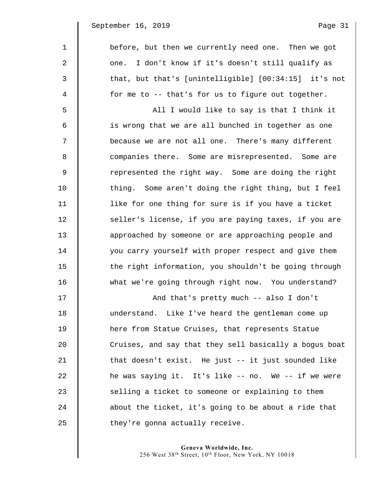1 before, but then we currently need one. Then we got 2 | one. I don't know if it's doesn't still qualify as 3 || that, but that's [unintelligible] [00:34:15] it's not  $4 \parallel$  for me to -- that's for us to figure out together. 5 All I would like to say is that I think it 6 || is wrong that we are all bunched in together as one 7 || because we are not all one. There's many different 8 Companies there. Some are misrepresented. Some are 9 || represented the right way. Some are doing the right 10 thing. Some aren't doing the right thing, but I feel 11 | like for one thing for sure is if you have a ticket 12 | seller's license, if you are paying taxes, if you are 13 approached by someone or are approaching people and 14 you carry yourself with proper respect and give them 15 | the right information, you shouldn't be going through 16 what we're going through right now. You understand? 17 | And that's pretty much -- also I don't

18 understand. Like I've heard the gentleman come up 19 here from Statue Cruises, that represents Statue 20 Cruises, and say that they sell basically a bogus boat 21  $\parallel$  that doesn't exist. He just -- it just sounded like 22 | he was saying it. It's like -- no. We -- if we were  $23$  | selling a ticket to someone or explaining to them 24  $\parallel$  about the ticket, it's going to be about a ride that  $25$   $\parallel$  they're gonna actually receive.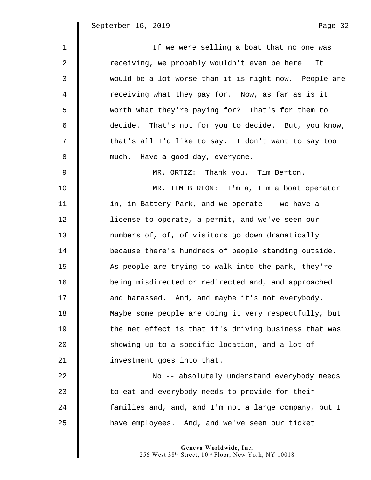| $\mathbf{1}$ | If we were selling a boat that no one was             |
|--------------|-------------------------------------------------------|
| 2            | receiving, we probably wouldn't even be here. It      |
| 3            | would be a lot worse than it is right now. People are |
| 4            | receiving what they pay for. Now, as far as is it     |
| 5            | worth what they're paying for? That's for them to     |
| 6            | decide. That's not for you to decide. But, you know,  |
| 7            | that's all I'd like to say. I don't want to say too   |
| 8            | much. Have a good day, everyone.                      |
| 9            | MR. ORTIZ: Thank you. Tim Berton.                     |
| 10           | MR. TIM BERTON: I'm a, I'm a boat operator            |
| 11           | in, in Battery Park, and we operate -- we have a      |
| 12           | license to operate, a permit, and we've seen our      |
| 13           | numbers of, of, of visitors go down dramatically      |
| 14           | because there's hundreds of people standing outside.  |
| 15           | As people are trying to walk into the park, they're   |
| 16           | being misdirected or redirected and, and approached   |
| 17           | and harassed. And, and maybe it's not everybody.      |
| 18           | Maybe some people are doing it very respectfully, but |
| 19           | the net effect is that it's driving business that was |
| 20           | showing up to a specific location, and a lot of       |
| 21           | investment goes into that.                            |
| 22           | No -- absolutely understand everybody needs           |
| 23           | to eat and everybody needs to provide for their       |
| 24           | families and, and, and I'm not a large company, but I |
| 25           | have employees. And, and we've seen our ticket        |

**Geneva Worldwide, Inc.** 

256 West 38th Street, 10th Floor, New York, NY 10018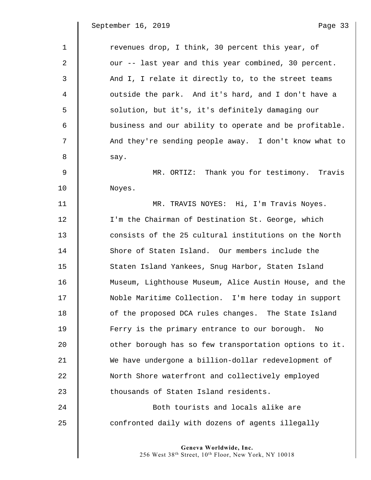$\mathsf I$ 

| $\mathbf 1$    | revenues drop, I think, 30 percent this year, of       |
|----------------|--------------------------------------------------------|
| $\overline{2}$ | our -- last year and this year combined, 30 percent.   |
| 3              | And I, I relate it directly to, to the street teams    |
| 4              | outside the park. And it's hard, and I don't have a    |
| 5              | solution, but it's, it's definitely damaging our       |
| 6              | business and our ability to operate and be profitable. |
| 7              | And they're sending people away. I don't know what to  |
| 8              | say.                                                   |
| $\mathsf 9$    | MR. ORTIZ: Thank you for testimony. Travis             |
| 10             | Noyes.                                                 |
| 11             | MR. TRAVIS NOYES: Hi, I'm Travis Noyes.                |
| 12             | I'm the Chairman of Destination St. George, which      |
| 13             | consists of the 25 cultural institutions on the North  |
| 14             | Shore of Staten Island. Our members include the        |
| 15             | Staten Island Yankees, Snug Harbor, Staten Island      |
| 16             | Museum, Lighthouse Museum, Alice Austin House, and the |
| 17             | Noble Maritime Collection. I'm here today in support   |
| 18             | of the proposed DCA rules changes. The State Island    |
| 19             | Ferry is the primary entrance to our borough.<br>No    |
| 20             | other borough has so few transportation options to it. |
| 21             | We have undergone a billion-dollar redevelopment of    |
| 22             | North Shore waterfront and collectively employed       |
| 23             | thousands of Staten Island residents.                  |
| 24             | Both tourists and locals alike are                     |
| 25             | confronted daily with dozens of agents illegally       |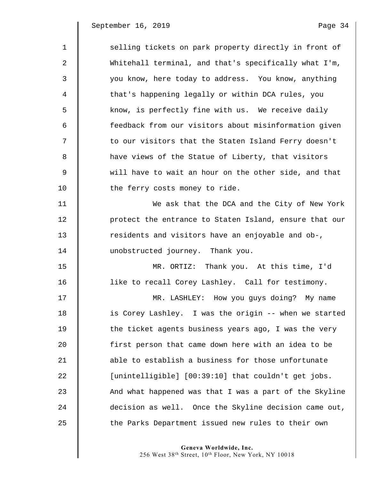1 Selling tickets on park property directly in front of 2 Whitehall terminal, and that's specifically what I'm, 3 | you know, here today to address. You know, anything 4 that's happening legally or within DCA rules, you 5 | know, is perfectly fine with us. We receive daily 6 feedback from our visitors about misinformation given 7  $\parallel$  to our visitors that the Staten Island Ferry doesn't 8 **h** have views of the Statue of Liberty, that visitors 9 will have to wait an hour on the other side, and that 10 | the ferry costs money to ride. 11 We ask that the DCA and the City of New York 12 | protect the entrance to Staten Island, ensure that our 13 Tesidents and visitors have an enjoyable and ob-, 14 **I** unobstructed journey. Thank you. 15 MR. ORTIZ: Thank you. At this time, I'd 16 **like to recall Corey Lashley.** Call for testimony. 17 MR. LASHLEY: How you guys doing? My name 18 is Corey Lashley. I was the origin -- when we started 19  $\parallel$  the ticket agents business years ago, I was the very 20 first person that came down here with an idea to be 21 **b** able to establish a business for those unfortunate 22 | [unintelligible] [00:39:10] that couldn't get jobs. 23 || And what happened was that I was a part of the Skyline 24 decision as well. Once the Skyline decision came out, 25 The Parks Department issued new rules to their own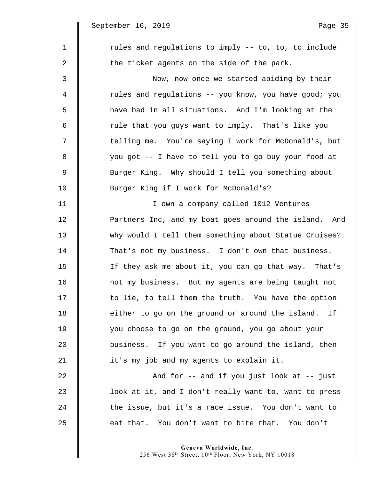$\mathbb I$ 

| $\mathbf{1}$   | rules and regulations to imply -- to, to, to include   |
|----------------|--------------------------------------------------------|
| 2              | the ticket agents on the side of the park.             |
| 3              | Now, now once we started abiding by their              |
| 4              | rules and regulations -- you know, you have good; you  |
| 5              | have bad in all situations. And I'm looking at the     |
| 6              | rule that you guys want to imply. That's like you      |
| 7              | telling me. You're saying I work for McDonald's, but   |
| 8              | you got -- I have to tell you to go buy your food at   |
| $\overline{9}$ | Burger King. Why should I tell you something about     |
| 10             | Burger King if I work for McDonald's?                  |
| 11             | I own a company called 1012 Ventures                   |
| 12             | Partners Inc, and my boat goes around the island. And  |
| 13             | why would I tell them something about Statue Cruises?  |
| 14             | That's not my business. I don't own that business.     |
| 15             | If they ask me about it, you can go that way. That's   |
| 16             | not my business. But my agents are being taught not    |
| 17             | to lie, to tell them the truth. You have the option    |
| 18             | either to go on the ground or around the island.<br>Ιf |
| 19             | you choose to go on the ground, you go about your      |
| 20             | business. If you want to go around the island, then    |
| 21             | it's my job and my agents to explain it.               |
| 22             | And for $--$ and if you just look at $--$ just         |
| 23             | look at it, and I don't really want to, want to press  |
| 24             | the issue, but it's a race issue. You don't want to    |
| 25             | eat that. You don't want to bite that. You don't       |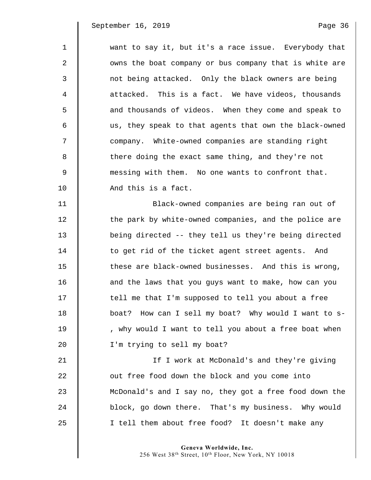| $\mathbf{1}$ | want to say it, but it's a race issue. Everybody that  |
|--------------|--------------------------------------------------------|
| $\mathbf{2}$ | owns the boat company or bus company that is white are |
| 3            | not being attacked. Only the black owners are being    |
| 4            | attacked. This is a fact. We have videos, thousands    |
| 5            | and thousands of videos. When they come and speak to   |
| 6            | us, they speak to that agents that own the black-owned |
| 7            | company. White-owned companies are standing right      |
| 8            | there doing the exact same thing, and they're not      |
| 9            | messing with them. No one wants to confront that.      |
| 10           | And this is a fact.                                    |
| 11           | Black-owned companies are being ran out of             |
| 12           | the park by white-owned companies, and the police are  |
| 13           | being directed -- they tell us they're being directed  |
| 14           | to get rid of the ticket agent street agents. And      |
| 15           | these are black-owned businesses. And this is wrong,   |
| 16           | and the laws that you guys want to make, how can you   |
| 17           | tell me that I'm supposed to tell you about a free     |
| 18           | boat? How can I sell my boat? Why would I want to s-   |
| 19           | , why would I want to tell you about a free boat when  |
| 20           | I'm trying to sell my boat?                            |
| 21           | If I work at McDonald's and they're giving             |
| 22           | out free food down the block and you come into         |
| 23           | McDonald's and I say no, they got a free food down the |
| 24           | block, go down there. That's my business. Why would    |
| 25           | I tell them about free food? It doesn't make any       |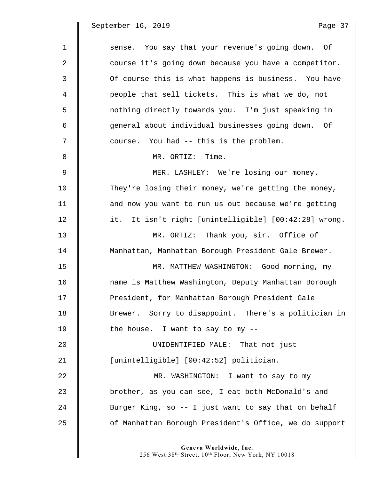$\parallel$ 

| $\mathbf 1$ | sense. You say that your revenue's going down. Of      |
|-------------|--------------------------------------------------------|
| 2           | course it's going down because you have a competitor.  |
| 3           | Of course this is what happens is business. You have   |
| 4           | people that sell tickets. This is what we do, not      |
| 5           | nothing directly towards you. I'm just speaking in     |
| 6           | general about individual businesses going down. Of     |
| 7           | course. You had -- this is the problem.                |
| 8           | MR. ORTIZ: Time.                                       |
| $\mathsf 9$ | MER. LASHLEY: We're losing our money.                  |
| 10          | They're losing their money, we're getting the money,   |
| 11          | and now you want to run us out because we're getting   |
| 12          | it. It isn't right [unintelligible] [00:42:28] wrong.  |
| 13          | MR. ORTIZ: Thank you, sir. Office of                   |
| 14          | Manhattan, Manhattan Borough President Gale Brewer.    |
| 15          | MR. MATTHEW WASHINGTON: Good morning, my               |
| 16          | name is Matthew Washington, Deputy Manhattan Borough   |
| 17          | President, for Manhattan Borough President Gale        |
| 18          | Brewer. Sorry to disappoint. There's a politician in   |
| 19          | the house. I want to say to my --                      |
| 20          | UNIDENTIFIED MALE: That not just                       |
| 21          | [unintelligible] [00:42:52] politician.                |
| 22          | MR. WASHINGTON: I want to say to my                    |
| 23          | brother, as you can see, I eat both McDonald's and     |
| 24          | Burger King, so -- I just want to say that on behalf   |
| 25          | of Manhattan Borough President's Office, we do support |
|             |                                                        |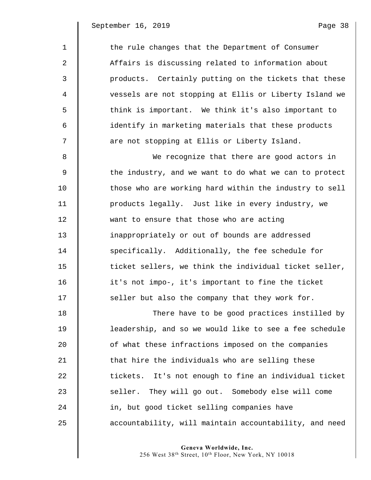| $\mathbf 1$    | the rule changes that the Department of Consumer       |
|----------------|--------------------------------------------------------|
| 2              | Affairs is discussing related to information about     |
| 3              | products. Certainly putting on the tickets that these  |
| $\overline{4}$ | vessels are not stopping at Ellis or Liberty Island we |
| 5              | think is important. We think it's also important to    |
| 6              | identify in marketing materials that these products    |
| 7              | are not stopping at Ellis or Liberty Island.           |
| 8              | We recognize that there are good actors in             |
| 9              | the industry, and we want to do what we can to protect |
| 10             | those who are working hard within the industry to sell |
| 11             | products legally. Just like in every industry, we      |
| 12             | want to ensure that those who are acting               |
| 13             | inappropriately or out of bounds are addressed         |
| 14             | specifically. Additionally, the fee schedule for       |
| 15             | ticket sellers, we think the individual ticket seller, |
| 16             | it's not impo-, it's important to fine the ticket      |
| 17             | seller but also the company that they work for.        |
| 18             | There have to be good practices instilled by           |
| 19             | leadership, and so we would like to see a fee schedule |
| 20             | of what these infractions imposed on the companies     |
| 21             | that hire the individuals who are selling these        |
| 22             | tickets. It's not enough to fine an individual ticket  |
| 23             | seller. They will go out. Somebody else will come      |
| 24             | in, but good ticket selling companies have             |
| 25             | accountability, will maintain accountability, and need |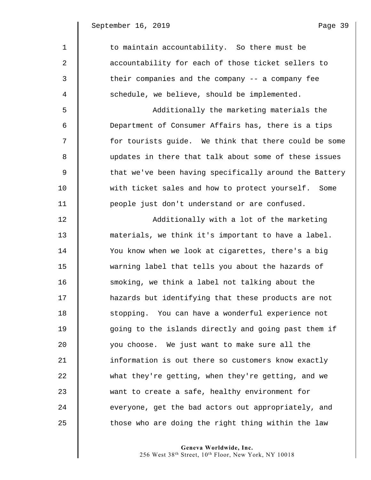1 to maintain accountability. So there must be 2 **accountability for each of those ticket sellers to** 3 Their companies and the company -- a company fee 4 Schedule, we believe, should be implemented.

5 Additionally the marketing materials the 6 Department of Consumer Affairs has, there is a tips 7  $\parallel$  for tourists quide. We think that there could be some 8 updates in there that talk about some of these issues 9  $\parallel$  that we've been having specifically around the Battery 10 Weith ticket sales and how to protect yourself. Some 11 **people** just don't understand or are confused.

12 | Additionally with a lot of the marketing 13 materials, we think it's important to have a label. 14 You know when we look at cigarettes, there's a big 15 warning label that tells you about the hazards of 16 smoking, we think a label not talking about the 17 hazards but identifying that these products are not 18 stopping. You can have a wonderful experience not 19  $\parallel$  going to the islands directly and going past them if 20 you choose. We just want to make sure all the 21 **information is out there so customers know exactly** 22 what they're getting, when they're getting, and we 23 want to create a safe, healthy environment for 24 everyone, get the bad actors out appropriately, and  $25$   $\parallel$  those who are doing the right thing within the law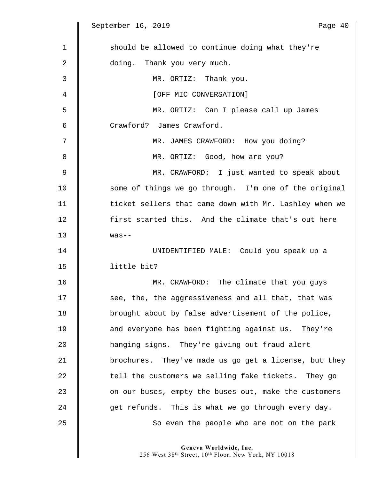$\parallel$ 

| $\mathbf 1$ | should be allowed to continue doing what they're       |
|-------------|--------------------------------------------------------|
| 2           | doing. Thank you very much.                            |
| 3           | MR. ORTIZ: Thank you.                                  |
| 4           | [OFF MIC CONVERSATION]                                 |
| 5           | MR. ORTIZ: Can I please call up James                  |
| 6           | Crawford? James Crawford.                              |
| 7           | MR. JAMES CRAWFORD: How you doing?                     |
| 8           | MR. ORTIZ: Good, how are you?                          |
| 9           | MR. CRAWFORD: I just wanted to speak about             |
| 10          | some of things we go through. I'm one of the original  |
| 11          | ticket sellers that came down with Mr. Lashley when we |
| 12          | first started this. And the climate that's out here    |
| 13          | $was--$                                                |
| 14          | UNIDENTIFIED MALE: Could you speak up a                |
| 15          | little bit?                                            |
| 16          | MR. CRAWFORD: The climate that you guys                |
| 17          | see, the, the aggressiveness and all that, that was    |
| 18          | brought about by false advertisement of the police,    |
| 19          | and everyone has been fighting against us. They're     |
| 20          | hanging signs. They're giving out fraud alert          |
| 21          | brochures. They've made us go get a license, but they  |
| 22          | tell the customers we selling fake tickets. They go    |
| 23          | on our buses, empty the buses out, make the customers  |
| 24          | get refunds. This is what we go through every day.     |
| 25          | So even the people who are not on the park             |
|             |                                                        |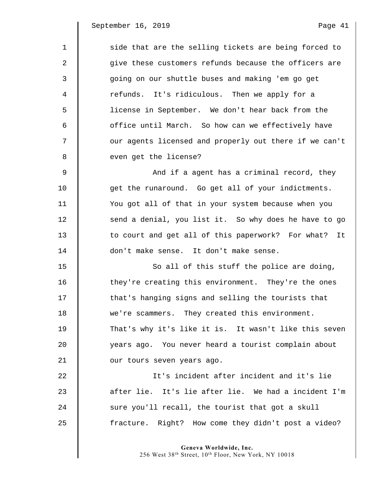1 side that are the selling tickets are being forced to 2  $\parallel$  give these customers refunds because the officers are 3 going on our shuttle buses and making 'em go get 4 | refunds. It's ridiculous. Then we apply for a 5 license in September. We don't hear back from the 6 || office until March. So how can we effectively have 7  $\parallel$  our agents licensed and properly out there if we can't 8 even get the license? 9 And if a agent has a criminal record, they 10 get the runaround. Go get all of your indictments. 11 You got all of that in your system because when you 12 | send a denial, you list it. So why does he have to go 13 | to court and get all of this paperwork? For what? It 14 don't make sense. It don't make sense. 15 So all of this stuff the police are doing, 16 They're creating this environment. They're the ones 17  $\parallel$  that's hanging signs and selling the tourists that 18 we're scammers. They created this environment. 19 That's why it's like it is. It wasn't like this seven 20 years ago. You never heard a tourist complain about 21 **July 21** our tours seven years ago. 22 It's incident after incident and it's lie 23 after lie. It's lie after lie. We had a incident I'm  $24$   $\parallel$  sure you'll recall, the tourist that got a skull

**Geneva Worldwide, Inc.** 

25 | fracture. Right? How come they didn't post a video?

256 West 38th Street, 10th Floor, New York, NY 10018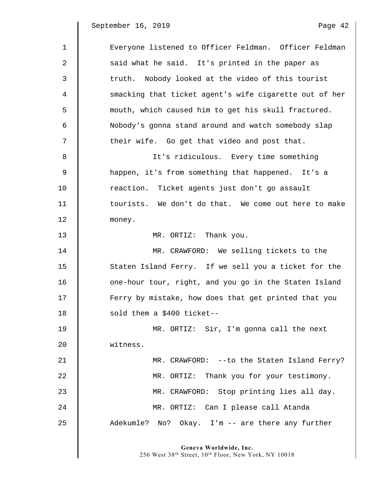| $\mathbf{1}$ | Everyone listened to Officer Feldman. Officer Feldman  |
|--------------|--------------------------------------------------------|
| 2            | said what he said. It's printed in the paper as        |
| 3            | truth. Nobody looked at the video of this tourist      |
| 4            | smacking that ticket agent's wife cigarette out of her |
| 5            | mouth, which caused him to get his skull fractured.    |
| 6            | Nobody's gonna stand around and watch somebody slap    |
| 7            | their wife. Go get that video and post that.           |
| 8            | It's ridiculous. Every time something                  |
| 9            | happen, it's from something that happened. It's a      |
| 10           | reaction. Ticket agents just don't go assault          |
| 11           | tourists. We don't do that. We come out here to make   |
| 12           | money.                                                 |
| 13           | MR. ORTIZ: Thank you.                                  |
| 14           | MR. CRAWFORD: We selling tickets to the                |
| 15           | Staten Island Ferry. If we sell you a ticket for the   |
| 16           | one-hour tour, right, and you go in the Staten Island  |
| 17           | Ferry by mistake, how does that get printed that you   |
| 18           | sold them a \$400 ticket--                             |
| 19           | MR. ORTIZ: Sir, I'm gonna call the next                |
| 20           | witness.                                               |
| 21           | MR. CRAWFORD: -- to the Staten Island Ferry?           |
| 22           | MR. ORTIZ: Thank you for your testimony.               |
| 23           | MR. CRAWFORD: Stop printing lies all day.              |
| 24           | MR. ORTIZ: Can I please call Atanda                    |
| 25           | Adekumle? No? Okay. I'm -- are there any further       |
|              |                                                        |

**Geneva Worldwide, Inc.** 

256 West 38th Street, 10th Floor, New York, NY 10018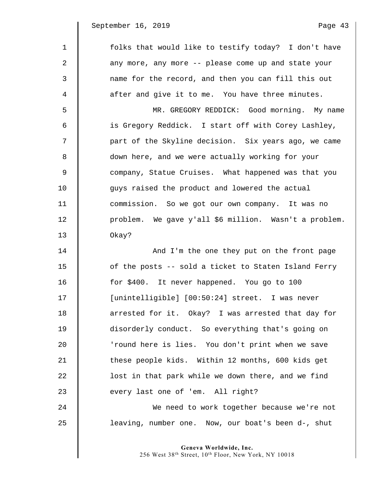| $\mathbf{1}$ | folks that would like to testify today? I don't have  |
|--------------|-------------------------------------------------------|
| 2            | any more, any more -- please come up and state your   |
| 3            | name for the record, and then you can fill this out   |
| 4            | after and give it to me. You have three minutes.      |
| 5            | MR. GREGORY REDDICK: Good morning. My name            |
| 6            | is Gregory Reddick. I start off with Corey Lashley,   |
| 7            | part of the Skyline decision. Six years ago, we came  |
| 8            | down here, and we were actually working for your      |
| 9            | company, Statue Cruises. What happened was that you   |
| 10           | guys raised the product and lowered the actual        |
| 11           | commission. So we got our own company. It was no      |
| 12           | problem. We gave y'all \$6 million. Wasn't a problem. |
| 13           | Okay?                                                 |
| 14           | And I'm the one they put on the front page            |
| 15           | of the posts -- sold a ticket to Staten Island Ferry  |
| 16           | for \$400. It never happened. You go to 100           |
| 17           | [unintelligible] [00:50:24] street. I was never       |
| 18           | arrested for it. Okay? I was arrested that day for    |
| 19           | disorderly conduct. So everything that's going on     |
| 20           | 'round here is lies. You don't print when we save     |
| 21           | these people kids. Within 12 months, 600 kids get     |
| 22           | lost in that park while we down there, and we find    |
| 23           | every last one of 'em. All right?                     |
| 24           | We need to work together because we're not            |
|              |                                                       |

25 | leaving, number one. Now, our boat's been d-, shut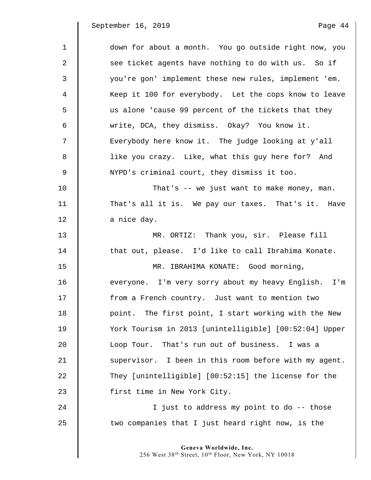| $\mathbf{1}$ | down for about a month. You go outside right now, you  |
|--------------|--------------------------------------------------------|
| 2            | see ticket agents have nothing to do with us. So if    |
| 3            | you're gon' implement these new rules, implement 'em.  |
| 4            | Keep it 100 for everybody. Let the cops know to leave  |
| 5            | us alone 'cause 99 percent of the tickets that they    |
| 6            | write, DCA, they dismiss. Okay? You know it.           |
| 7            | Everybody here know it. The judge looking at y'all     |
| 8            | like you crazy. Like, what this guy here for? And      |
| 9            | NYPD's criminal court, they dismiss it too.            |
| 10           | That's -- we just want to make money, man.             |
| 11           | That's all it is. We pay our taxes. That's it. Have    |
| 12           | a nice day.                                            |
| 13           | MR. ORTIZ: Thank you, sir. Please fill                 |
| 14           | that out, please. I'd like to call Ibrahima Konate.    |
| 15           | MR. IBRAHIMA KONATE: Good morning,                     |
| 16           | everyone. I'm very sorry about my heavy English. I'm   |
| 17           | from a French country. Just want to mention two        |
| 18           | point. The first point, I start working with the New   |
| 19           | York Tourism in 2013 [unintelligible] [00:52:04] Upper |
| 20           | Loop Tour. That's run out of business. I was a         |
| 21           | supervisor. I been in this room before with my agent.  |
| 22           | They [unintelligible] [00:52:15] the license for the   |
| 23           | first time in New York City.                           |
| 24           | I just to address my point to do -- those              |
| 25           | two companies that I just heard right now, is the      |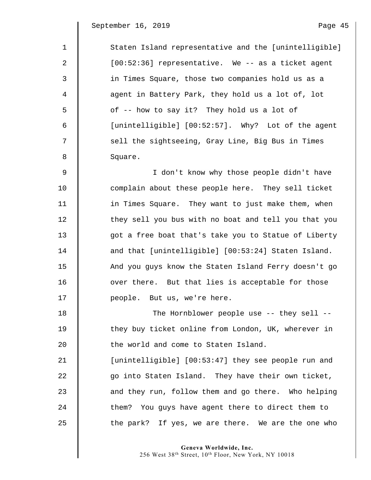| $\mathbf{1}$   | Staten Island representative and the [unintelligible] |
|----------------|-------------------------------------------------------|
| 2              | [00:52:36] representative. We -- as a ticket agent    |
| 3              | in Times Square, those two companies hold us as a     |
| $\overline{4}$ | agent in Battery Park, they hold us a lot of, lot     |
| 5              | of -- how to say it? They hold us a lot of            |
| 6              | [unintelligible] [00:52:57]. Why? Lot of the agent    |
| 7              | sell the sightseeing, Gray Line, Big Bus in Times     |
| 8              | Square.                                               |
| $\overline{9}$ | I don't know why those people didn't have             |
| 10             | complain about these people here. They sell ticket    |
| 11             | in Times Square. They want to just make them, when    |
| 12             | they sell you bus with no boat and tell you that you  |
| 13             | got a free boat that's take you to Statue of Liberty  |
| 14             | and that [unintelligible] [00:53:24] Staten Island.   |
| 15             | And you guys know the Staten Island Ferry doesn't go  |
| 16             | over there. But that lies is acceptable for those     |
| 17             | people. But us, we're here.                           |
| 18             | The Hornblower people use -- they sell --             |
| 19             | they buy ticket online from London, UK, wherever in   |
| 20             | the world and come to Staten Island.                  |
| 21             | [unintelligible] [00:53:47] they see people run and   |
| 22             | go into Staten Island. They have their own ticket,    |
| 23             | and they run, follow them and go there. Who helping   |
| 24             | them? You guys have agent there to direct them to     |
| 25             | the park? If yes, we are there. We are the one who    |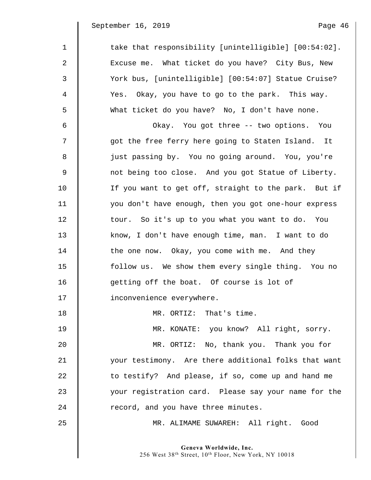September 16, 2019

| Page | 46 |
|------|----|
|      |    |

| $\mathbf{1}$ | take that responsibility [unintelligible] [00:54:02]. |
|--------------|-------------------------------------------------------|
| $\mathbf{2}$ | Excuse me. What ticket do you have? City Bus, New     |
| 3            | York bus, [unintelligible] [00:54:07] Statue Cruise?  |
| 4            | Yes. Okay, you have to go to the park. This way.      |
| 5            | What ticket do you have? No, I don't have none.       |
| 6            | Okay. You got three -- two options. You               |
| 7            | got the free ferry here going to Staten Island. It    |
| 8            | just passing by. You no going around. You, you're     |
| 9            | not being too close. And you got Statue of Liberty.   |
| 10           | If you want to get off, straight to the park. But if  |
| 11           | you don't have enough, then you got one-hour express  |
| 12           | tour. So it's up to you what you want to do. You      |
| 13           | know, I don't have enough time, man. I want to do     |
| 14           | the one now. Okay, you come with me. And they         |
| 15           | follow us. We show them every single thing. You no    |
| 16           | getting off the boat. Of course is lot of             |
| 17           | inconvenience everywhere.                             |
| 18           | MR. ORTIZ: That's time.                               |
| 19           | MR. KONATE: you know? All right, sorry.               |
| 20           | MR. ORTIZ: No, thank you. Thank you for               |
| 21           | your testimony. Are there additional folks that want  |
| 22           | to testify? And please, if so, come up and hand me    |
| 23           | your registration card. Please say your name for the  |
| 24           | record, and you have three minutes.                   |
| 25           | MR. ALIMAME SUWAREH: All right. Good                  |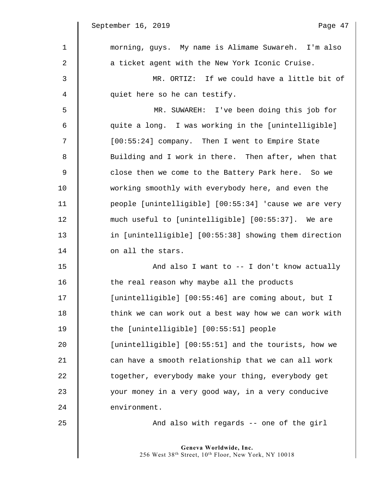September 16, 2019

 $\mathsf I$ 

| -aae- |  |  |  |
|-------|--|--|--|
|-------|--|--|--|

| $\mathbf 1$ | morning, guys. My name is Alimame Suwareh. I'm also   |
|-------------|-------------------------------------------------------|
| 2           | a ticket agent with the New York Iconic Cruise.       |
| 3           | MR. ORTIZ: If we could have a little bit of           |
| 4           | quiet here so he can testify.                         |
| 5           | MR. SUWAREH: I've been doing this job for             |
| 6           | quite a long. I was working in the [unintelligible]   |
| 7           | [00:55:24] company. Then I went to Empire State       |
| 8           | Building and I work in there. Then after, when that   |
| 9           | close then we come to the Battery Park here. So we    |
| 10          | working smoothly with everybody here, and even the    |
| 11          | people [unintelligible] [00:55:34] 'cause we are very |
| 12          | much useful to [unintelligible] [00:55:37]. We are    |
| 13          | in [unintelligible] [00:55:38] showing them direction |
| 14          | on all the stars.                                     |
| 15          | And also I want to $-$ I don't know actually          |
| 16          | the real reason why maybe all the products            |
| 17          | [unintelligible] [00:55:46] are coming about, but I   |
| 18          | think we can work out a best way how we can work with |
| 19          | the [unintelligible] [00:55:51] people                |
| 20          | [unintelligible] [00:55:51] and the tourists, how we  |
| 21          | can have a smooth relationship that we can all work   |
| 22          | together, everybody make your thing, everybody get    |
| 23          | your money in a very good way, in a very conducive    |
| 24          | environment.                                          |
| 25          | And also with regards -- one of the girl              |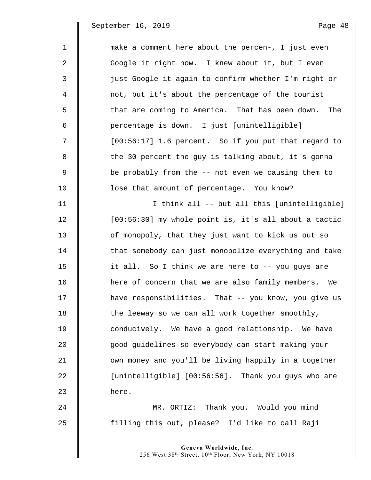1 make a comment here about the percen-, I just even 2 | Google it right now. I knew about it, but I even 3 just Google it again to confirm whether I'm right or 4 not, but it's about the percentage of the tourist 5 || that are coming to America. That has been down. The 6 percentage is down. I just [unintelligible] 7 [00:56:17] 1.6 percent. So if you put that regard to 8 | the 30 percent the guy is talking about, it's gonna 9 Seprobably from the -- not even we causing them to 10 **l** lose that amount of percentage. You know? 11 I think all -- but all this [unintelligible] 12 | [00:56:30] my whole point is, it's all about a tactic 13 | of monopoly, that they just want to kick us out so 14 **that somebody can just monopolize everything and take** 15 it all. So I think we are here to -- you guys are 16 **h** here of concern that we are also family members. We 17 **have responsibilities.** That -- you know, you give us  $18$   $\parallel$  the leeway so we can all work together smoothly, 19 **conducively.** We have a good relationship. We have 20 good guidelines so everybody can start making your 21 | own money and you'll be living happily in a together 22  $\parallel$  [unintelligible] [00:56:56]. Thank you guys who are  $23$   $h$  here.

24 MR. ORTIZ: Thank you. Would you mind 25 | filling this out, please? I'd like to call Raji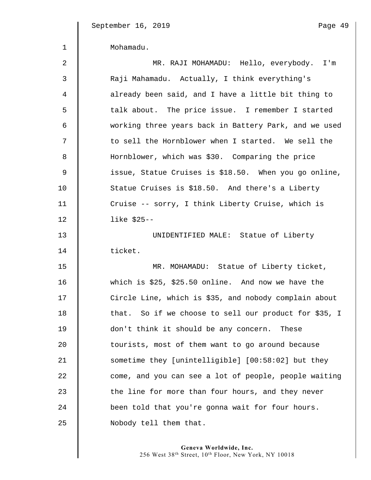| Mohamadu. |
|-----------|
|           |

| 2  | MR. RAJI MOHAMADU: Hello, everybody. I'm              |
|----|-------------------------------------------------------|
| 3  | Raji Mahamadu. Actually, I think everything's         |
| 4  | already been said, and I have a little bit thing to   |
| 5  | talk about. The price issue. I remember I started     |
| 6  | working three years back in Battery Park, and we used |
| 7  | to sell the Hornblower when I started. We sell the    |
| 8  | Hornblower, which was \$30. Comparing the price       |
| 9  | issue, Statue Cruises is \$18.50. When you go online, |
| 10 | Statue Cruises is \$18.50. And there's a Liberty      |
| 11 | Cruise -- sorry, I think Liberty Cruise, which is     |
| 12 | like $$25--$                                          |
| 13 | UNIDENTIFIED MALE: Statue of Liberty                  |
| 14 | ticket.                                               |
| 15 | MR. MOHAMADU: Statue of Liberty ticket,               |
| 16 |                                                       |
|    | which is \$25, \$25.50 online. And now we have the    |
| 17 | Circle Line, which is \$35, and nobody complain about |
| 18 | that. So if we choose to sell our product for \$35, I |
| 19 | don't think it should be any concern. These           |
| 20 | tourists, most of them want to go around because      |
| 21 | sometime they [unintelligible] [00:58:02] but they    |
| 22 | come, and you can see a lot of people, people waiting |
| 23 | the line for more than four hours, and they never     |
| 24 | been told that you're gonna wait for four hours.      |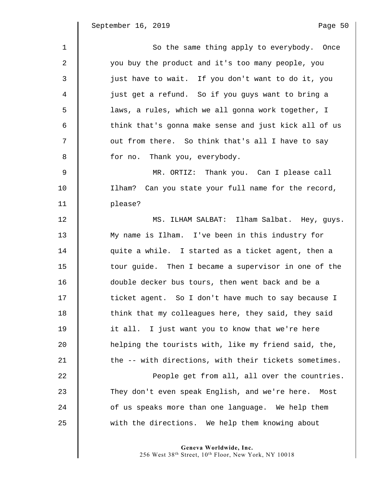| $\mathbf{1}$ | So the same thing apply to everybody. Once            |
|--------------|-------------------------------------------------------|
| 2            | you buy the product and it's too many people, you     |
| 3            | just have to wait. If you don't want to do it, you    |
| 4            | just get a refund. So if you guys want to bring a     |
| 5            | laws, a rules, which we all gonna work together, I    |
| 6            | think that's gonna make sense and just kick all of us |
| 7            | out from there. So think that's all I have to say     |
| 8            | for no. Thank you, everybody.                         |
| 9            | MR. ORTIZ: Thank you. Can I please call               |
| 10           | Ilham? Can you state your full name for the record,   |
| 11           | please?                                               |
| 12           | MS. ILHAM SALBAT: Ilham Salbat. Hey, guys.            |
| 13           | My name is Ilham. I've been in this industry for      |
| 14           | quite a while. I started as a ticket agent, then a    |
| 15           | tour guide. Then I became a supervisor in one of the  |
| 16           | double decker bus tours, then went back and be a      |
| 17           | ticket agent. So I don't have much to say because I   |
| 18           | think that my colleagues here, they said, they said   |
| 19           | it all. I just want you to know that we're here       |
| 20           | helping the tourists with, like my friend said, the,  |
| 21           | the -- with directions, with their tickets sometimes. |
| 22           | People get from all, all over the countries.          |
| 23           | They don't even speak English, and we're here. Most   |
| 24           | of us speaks more than one language. We help them     |
| 25           | with the directions. We help them knowing about       |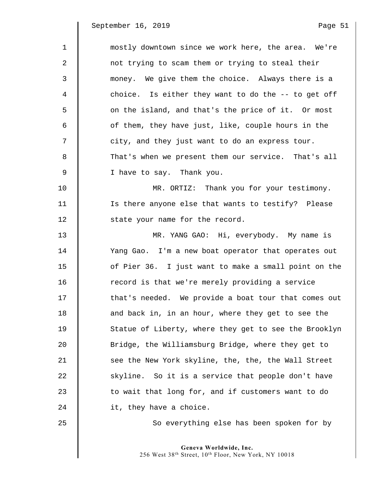| $\mathbf{1}$   | mostly downtown since we work here, the area. We're   |
|----------------|-------------------------------------------------------|
| $\overline{a}$ | not trying to scam them or trying to steal their      |
| 3              | money. We give them the choice. Always there is a     |
| 4              | choice. Is either they want to do the -- to get off   |
| 5              | on the island, and that's the price of it. Or most    |
| 6              | of them, they have just, like, couple hours in the    |
| 7              | city, and they just want to do an express tour.       |
| 8              | That's when we present them our service. That's all   |
| 9              | I have to say. Thank you.                             |
| 10             | MR. ORTIZ: Thank you for your testimony.              |
| 11             | Is there anyone else that wants to testify? Please    |
| 12             | state your name for the record.                       |
| 13             | MR. YANG GAO: Hi, everybody. My name is               |
| 14             | Yang Gao. I'm a new boat operator that operates out   |
| 15             | of Pier 36. I just want to make a small point on the  |
| 16             | record is that we're merely providing a service       |
| 17             | that's needed. We provide a boat tour that comes out  |
| 18             | and back in, in an hour, where they get to see the    |
| 19             | Statue of Liberty, where they get to see the Brooklyn |
| 20             | Bridge, the Williamsburg Bridge, where they get to    |
| 21             | see the New York skyline, the, the, the Wall Street   |
| 22             | skyline. So it is a service that people don't have    |
| 23             | to wait that long for, and if customers want to do    |
| 24             | it, they have a choice.                               |
| 25             | So everything else has been spoken for by             |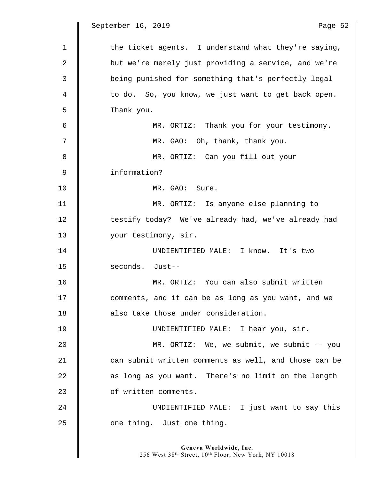September 16, 2019

 $\mathbb I$ 

| aae |   |
|-----|---|
|     | ٠ |

| $\mathbf 1$ | the ticket agents. I understand what they're saying,  |
|-------------|-------------------------------------------------------|
| 2           | but we're merely just providing a service, and we're  |
| 3           | being punished for something that's perfectly legal   |
| 4           | to do. So, you know, we just want to get back open.   |
| 5           | Thank you.                                            |
| 6           | MR. ORTIZ: Thank you for your testimony.              |
| 7           | MR. GAO: Oh, thank, thank you.                        |
| 8           | MR. ORTIZ: Can you fill out your                      |
| 9           | information?                                          |
| 10          | MR. GAO: Sure.                                        |
| 11          | MR. ORTIZ: Is anyone else planning to                 |
| 12          | testify today? We've already had, we've already had   |
| 13          | your testimony, sir.                                  |
| 14          | UNDIENTIFIED MALE: I know. It's two                   |
| 15          | seconds. Just--                                       |
| 16          | MR. ORTIZ: You can also submit written                |
| 17          | comments, and it can be as long as you want, and we   |
| 18          | also take those under consideration.                  |
| 19          | UNDIENTIFIED MALE: I hear you, sir.                   |
| 20          | MR. ORTIZ: We, we submit, we submit $-$ - you         |
| 21          | can submit written comments as well, and those can be |
| 22          | as long as you want. There's no limit on the length   |
| 23          | of written comments.                                  |
| 24          | UNDIENTIFIED MALE: I just want to say this            |
| 25          | one thing. Just one thing.                            |
|             |                                                       |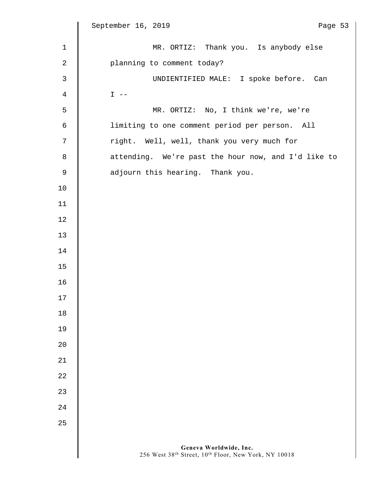|                | September 16, 2019<br>Page 53                                                  |
|----------------|--------------------------------------------------------------------------------|
| $\mathbf{1}$   | MR. ORTIZ: Thank you. Is anybody else                                          |
| 2              | planning to comment today?                                                     |
| $\mathfrak{Z}$ | UNDIENTIFIED MALE: I spoke before. Can                                         |
| $\overline{4}$ | $I$ $-$                                                                        |
| 5              | MR. ORTIZ: No, I think we're, we're                                            |
| 6              | limiting to one comment period per person. All                                 |
| 7              | right. Well, well, thank you very much for                                     |
| $\,8\,$        | attending. We're past the hour now, and I'd like to                            |
| $\mathsf 9$    | adjourn this hearing. Thank you.                                               |
| 10             |                                                                                |
| 11             |                                                                                |
| 12             |                                                                                |
| 13             |                                                                                |
| 14             |                                                                                |
| 15             |                                                                                |
| 16             |                                                                                |
| $17$           |                                                                                |
| 18             |                                                                                |
| 19             |                                                                                |
| $20$           |                                                                                |
| 21             |                                                                                |
| 22             |                                                                                |
| 23             |                                                                                |
| 24             |                                                                                |
| 25             |                                                                                |
|                |                                                                                |
|                | Geneva Worldwide, Inc.<br>256 West 38th Street, 10th Floor, New York, NY 10018 |